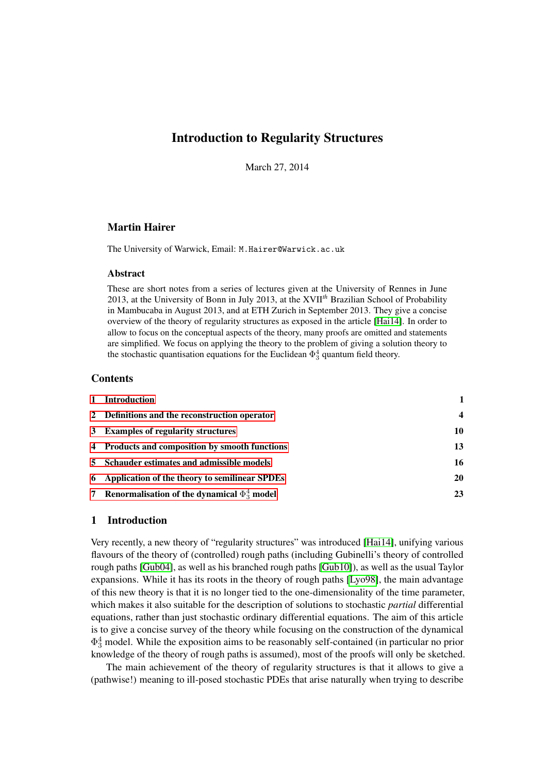## Introduction to Regularity Structures

March 27, 2014

## Martin Hairer

The University of Warwick, Email: M.Hairer@Warwick.ac.uk

## Abstract

These are short notes from a series of lectures given at the University of Rennes in June 2013, at the University of Bonn in July 2013, at the XVII*th* Brazilian School of Probability in Mambucaba in August 2013, and at ETH Zurich in September 2013. They give a concise overview of the theory of regularity structures as exposed in the article [\[Hai14\]](#page-30-0). In order to allow to focus on the conceptual aspects of the theory, many proofs are omitted and statements are simplified. We focus on applying the theory to the problem of giving a solution theory to the stochastic quantisation equations for the Euclidean  $\Phi_3^4$  quantum field theory.

## **Contents**

| 1 Introduction                                      |                  |
|-----------------------------------------------------|------------------|
| 2 Definitions and the reconstruction operator       | $\boldsymbol{4}$ |
| 3 Examples of regularity structures                 | 10               |
| 4 Products and composition by smooth functions      | 13               |
| 5 Schauder estimates and admissible models          | 16               |
| 6 Application of the theory to semilinear SPDEs     | 20               |
| 7 Renormalisation of the dynamical $\Phi_3^4$ model | 23               |

## <span id="page-0-0"></span>1 Introduction

Very recently, a new theory of "regularity structures" was introduced [\[Hai14\]](#page-30-0), unifying various flavours of the theory of (controlled) rough paths (including Gubinelli's theory of controlled rough paths [\[Gub04\]](#page-30-1), as well as his branched rough paths [\[Gub10\]](#page-30-2)), as well as the usual Taylor expansions. While it has its roots in the theory of rough paths [\[Lyo98\]](#page-30-3), the main advantage of this new theory is that it is no longer tied to the one-dimensionality of the time parameter, which makes it also suitable for the description of solutions to stochastic *partial* differential equations, rather than just stochastic ordinary differential equations. The aim of this article is to give a concise survey of the theory while focusing on the construction of the dynamical  $\Phi_3^4$  model. While the exposition aims to be reasonably self-contained (in particular no prior knowledge of the theory of rough paths is assumed), most of the proofs will only be sketched.

The main achievement of the theory of regularity structures is that it allows to give a (pathwise!) meaning to ill-posed stochastic PDEs that arise naturally when trying to describe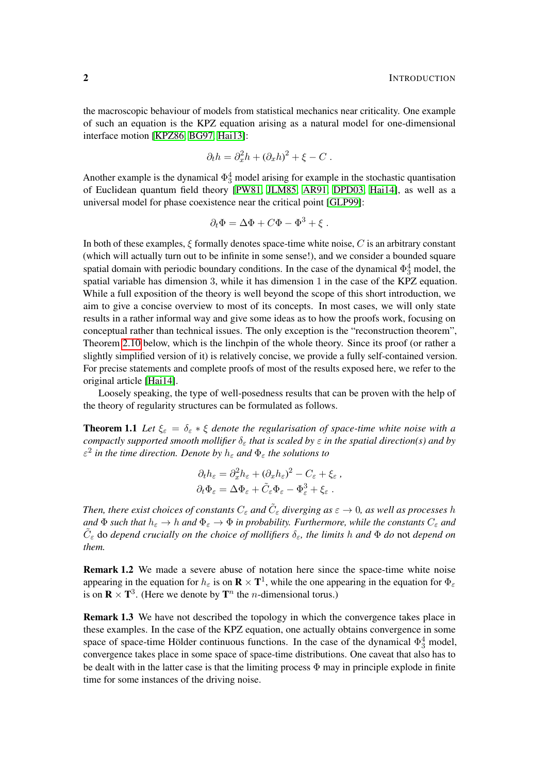the macroscopic behaviour of models from statistical mechanics near criticality. One example of such an equation is the KPZ equation arising as a natural model for one-dimensional interface motion [\[KPZ86,](#page-30-4) [BG97,](#page-30-5) [Hai13\]](#page-30-6):

$$
\partial_t h = \partial_x^2 h + (\partial_x h)^2 + \xi - C.
$$

Another example is the dynamical  $\Phi_3^4$  model arising for example in the stochastic quantisation of Euclidean quantum field theory [\[PW81,](#page-30-7) [JLM85,](#page-30-8) [AR91,](#page-29-0) [DPD03,](#page-30-9) [Hai14\]](#page-30-0), as well as a universal model for phase coexistence near the critical point [\[GLP99\]](#page-30-10):

$$
\partial_t \Phi = \Delta \Phi + C\Phi - \Phi^3 + \xi.
$$

In both of these examples,  $\xi$  formally denotes space-time white noise,  $C$  is an arbitrary constant (which will actually turn out to be infinite in some sense!), and we consider a bounded square spatial domain with periodic boundary conditions. In the case of the dynamical  $\Phi_3^4$  model, the spatial variable has dimension 3, while it has dimension 1 in the case of the KPZ equation. While a full exposition of the theory is well beyond the scope of this short introduction, we aim to give a concise overview to most of its concepts. In most cases, we will only state results in a rather informal way and give some ideas as to how the proofs work, focusing on conceptual rather than technical issues. The only exception is the "reconstruction theorem", Theorem [2.10](#page-5-0) below, which is the linchpin of the whole theory. Since its proof (or rather a slightly simplified version of it) is relatively concise, we provide a fully self-contained version. For precise statements and complete proofs of most of the results exposed here, we refer to the original article [\[Hai14\]](#page-30-0).

Loosely speaking, the type of well-posedness results that can be proven with the help of the theory of regularity structures can be formulated as follows.

**Theorem 1.1** Let  $\xi_{\varepsilon} = \delta_{\varepsilon} * \xi$  denote the regularisation of space-time white noise with a *compactly supported smooth mollifier*  $\delta_{\varepsilon}$  *that is scaled by*  $\varepsilon$  *in the spatial direction(s) and by*  $\varepsilon^2$  in the time direction. Denote by  $h_{\varepsilon}$  and  $\Phi_{\varepsilon}$  the solutions to

$$
\partial_t h_{\varepsilon} = \partial_x^2 h_{\varepsilon} + (\partial_x h_{\varepsilon})^2 - C_{\varepsilon} + \xi_{\varepsilon} ,
$$
  

$$
\partial_t \Phi_{\varepsilon} = \Delta \Phi_{\varepsilon} + \tilde{C}_{\varepsilon} \Phi_{\varepsilon} - \Phi_{\varepsilon}^3 + \xi_{\varepsilon} .
$$

Then, there exist choices of constants  $C_\varepsilon$  and  $\tilde C_\varepsilon$  diverging as  $\varepsilon\to 0$ , as well as processes h *and*  $\Phi$  *such that*  $h_{\varepsilon} \to h$  *and*  $\Phi_{\varepsilon} \to \Phi$  *in probability. Furthermore, while the constants*  $C_{\varepsilon}$  *and*  $\tilde{C}_{\varepsilon}$  do *depend crucially on the choice of mollifiers*  $\delta_{\varepsilon}$ , the limits h and  $\Phi$  do not depend on *them.*

Remark 1.2 We made a severe abuse of notation here since the space-time white noise appearing in the equation for  $h_\varepsilon$  is on  $\mathbf{R} \times \mathbf{T}^1$ , while the one appearing in the equation for  $\Phi_\varepsilon$ is on  $\mathbf{R} \times \mathbf{T}^3$ . (Here we denote by  $\mathbf{T}^n$  the *n*-dimensional torus.)

Remark 1.3 We have not described the topology in which the convergence takes place in these examples. In the case of the KPZ equation, one actually obtains convergence in some space of space-time Hölder continuous functions. In the case of the dynamical  $\Phi_3^4$  model, convergence takes place in some space of space-time distributions. One caveat that also has to be dealt with in the latter case is that the limiting process  $\Phi$  may in principle explode in finite time for some instances of the driving noise.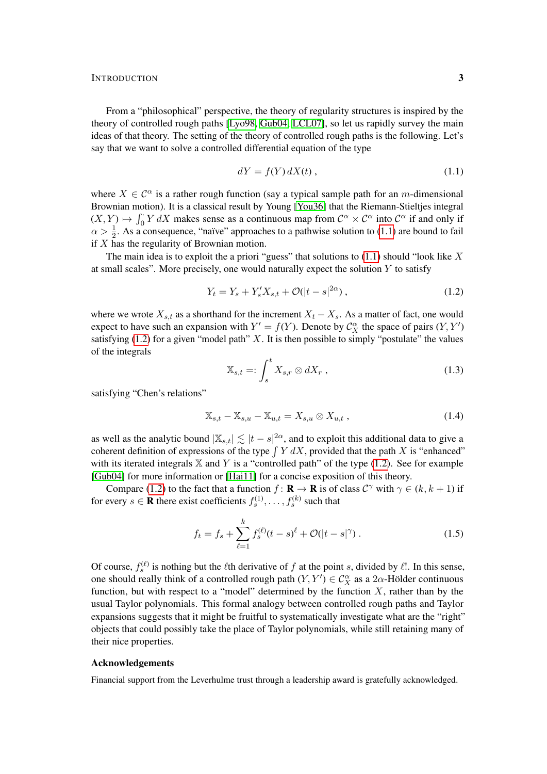From a "philosophical" perspective, the theory of regularity structures is inspired by the theory of controlled rough paths [\[Lyo98,](#page-30-3) [Gub04,](#page-30-1) [LCL07\]](#page-30-11), so let us rapidly survey the main ideas of that theory. The setting of the theory of controlled rough paths is the following. Let's say that we want to solve a controlled differential equation of the type

<span id="page-2-0"></span>
$$
dY = f(Y) dX(t), \qquad (1.1)
$$

where  $X \in \mathcal{C}^{\alpha}$  is a rather rough function (say a typical sample path for an m-dimensional Brownian motion). It is a classical result by Young [\[You36\]](#page-30-12) that the Riemann-Stieltjes integral  $(X, Y) \mapsto \int_0^Y Y dX$  makes sense as a continuous map from  $\mathcal{C}^{\alpha} \times \mathcal{C}^{\alpha}$  into  $\mathcal{C}^{\alpha}$  if and only if  $\alpha > \frac{1}{2}$ . As a consequence, "naïve" approaches to a pathwise solution to [\(1.1\)](#page-2-0) are bound to fail if X has the regularity of Brownian motion.

The main idea is to exploit the a priori "guess" that solutions to  $(1.1)$  should "look like X at small scales". More precisely, one would naturally expect the solution  $Y$  to satisfy

$$
Y_t = Y_s + Y'_s X_{s,t} + \mathcal{O}(|t - s|^{2\alpha}), \qquad (1.2)
$$

where we wrote  $X_{s,t}$  as a shorthand for the increment  $X_t - X_s$ . As a matter of fact, one would expect to have such an expansion with  $Y' = f(Y)$ . Denote by  $C_X^{\alpha}$  the space of pairs  $(Y, Y')$ satisfying  $(1.2)$  for a given "model path" X. It is then possible to simply "postulate" the values of the integrals

<span id="page-2-4"></span><span id="page-2-3"></span><span id="page-2-1"></span>
$$
\mathbb{X}_{s,t} =: \int_s^t X_{s,r} \otimes dX_r , \qquad (1.3)
$$

satisfying "Chen's relations"

$$
\mathbb{X}_{s,t} - \mathbb{X}_{s,u} - \mathbb{X}_{u,t} = X_{s,u} \otimes X_{u,t} , \qquad (1.4)
$$

as well as the analytic bound  $|\mathbb{X}_{s,t}| \lesssim |t-s|^{2\alpha}$ , and to exploit this additional data to give a coherent definition of expressions of the type  $\int Y dX$ , provided that the path X is "enhanced" with its iterated integrals  $X$  and Y is a "controlled path" of the type [\(1.2\)](#page-2-1). See for example [\[Gub04\]](#page-30-1) for more information or [\[Hai11\]](#page-30-13) for a concise exposition of this theory.

Compare [\(1.2\)](#page-2-1) to the fact that a function  $f : \mathbf{R} \to \mathbf{R}$  is of class  $C^{\gamma}$  with  $\gamma \in (k, k + 1)$  if for every  $s \in \mathbf{R}$  there exist coefficients  $f_s^{(1)}, \ldots, f_s^{(k)}$  such that

<span id="page-2-2"></span>
$$
f_t = f_s + \sum_{\ell=1}^k f_s^{(\ell)}(t-s)^\ell + \mathcal{O}(|t-s|^\gamma) \,. \tag{1.5}
$$

Of course,  $f_s^{(\ell)}$  is nothing but the  $\ell$ th derivative of f at the point s, divided by  $\ell$ !. In this sense, one should really think of a controlled rough path  $(Y, Y') \in C_X^{\alpha}$  as a 2 $\alpha$ -Hölder continuous function, but with respect to a "model" determined by the function  $X$ , rather than by the usual Taylor polynomials. This formal analogy between controlled rough paths and Taylor expansions suggests that it might be fruitful to systematically investigate what are the "right" objects that could possibly take the place of Taylor polynomials, while still retaining many of their nice properties.

## Acknowledgements

Financial support from the Leverhulme trust through a leadership award is gratefully acknowledged.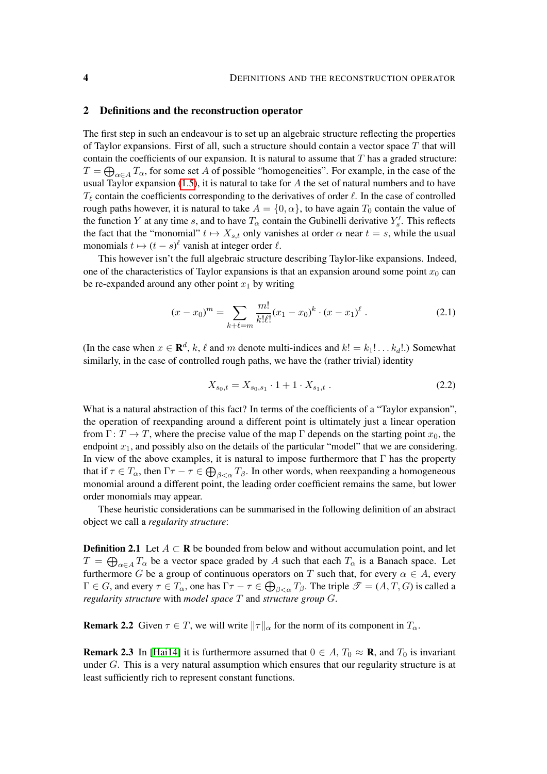#### <span id="page-3-0"></span>2 Definitions and the reconstruction operator

The first step in such an endeavour is to set up an algebraic structure reflecting the properties of Taylor expansions. First of all, such a structure should contain a vector space  $T$  that will contain the coefficients of our expansion. It is natural to assume that  $T$  has a graded structure:  $T = \bigoplus_{\alpha \in A} T_{\alpha}$ , for some set A of possible "homogeneities". For example, in the case of the usual Taylor expansion  $(1.5)$ , it is natural to take for A the set of natural numbers and to have  $T_\ell$  contain the coefficients corresponding to the derivatives of order  $\ell$ . In the case of controlled rough paths however, it is natural to take  $A = \{0, \alpha\}$ , to have again  $T_0$  contain the value of the function Y at any time s, and to have  $T_{\alpha}$  contain the Gubinelli derivative  $Y'_{s}$ . This reflects the fact that the "monomial"  $t \mapsto X_{s,t}$  only vanishes at order  $\alpha$  near  $t = s$ , while the usual monomials  $t \mapsto (t - s)^\ell$  vanish at integer order  $\ell$ .

This however isn't the full algebraic structure describing Taylor-like expansions. Indeed, one of the characteristics of Taylor expansions is that an expansion around some point  $x_0$  can be re-expanded around any other point  $x_1$  by writing

$$
(x - x_0)^m = \sum_{k+\ell=m} \frac{m!}{k!\ell!} (x_1 - x_0)^k \cdot (x - x_1)^{\ell} . \tag{2.1}
$$

(In the case when  $x \in \mathbf{R}^d$ , k,  $\ell$  and m denote multi-indices and  $k! = k_1! \dots k_d!$ .) Somewhat similarly, in the case of controlled rough paths, we have the (rather trivial) identity

<span id="page-3-2"></span><span id="page-3-1"></span>
$$
X_{s_0,t} = X_{s_0,s_1} \cdot 1 + 1 \cdot X_{s_1,t} \tag{2.2}
$$

What is a natural abstraction of this fact? In terms of the coefficients of a "Taylor expansion", the operation of reexpanding around a different point is ultimately just a linear operation from  $\Gamma: T \to T$ , where the precise value of the map  $\Gamma$  depends on the starting point  $x_0$ , the endpoint  $x_1$ , and possibly also on the details of the particular "model" that we are considering. In view of the above examples, it is natural to impose furthermore that  $\Gamma$  has the property that if  $\tau \in T_\alpha$ , then  $\Gamma\tau-\tau \in \bigoplus_{\beta<\alpha}T_\beta$ . In other words, when reexpanding a homogeneous monomial around a different point, the leading order coefficient remains the same, but lower order monomials may appear.

These heuristic considerations can be summarised in the following definition of an abstract object we call a *regularity structure*:

**Definition 2.1** Let  $A \subset \mathbf{R}$  be bounded from below and without accumulation point, and let  $T = \bigoplus_{\alpha \in A} T_{\alpha}$  be a vector space graded by A such that each  $T_{\alpha}$  is a Banach space. Let furthermore G be a group of continuous operators on T such that, for every  $\alpha \in A$ , every  $\Gamma \in G$ , and every  $\tau \in T_\alpha$ , one has  $\Gamma \tau - \tau \in \bigoplus_{\beta < \alpha} T_\beta$ . The triple  $\mathscr{T} = (A, T, G)$  is called a *regularity structure* with *model space* T and *structure group* G.

**Remark 2.2** Given  $\tau \in T$ , we will write  $\|\tau\|_{\alpha}$  for the norm of its component in  $T_{\alpha}$ .

**Remark 2.3** In [\[Hai14\]](#page-30-0) it is furthermore assumed that  $0 \in A$ ,  $T_0 \approx \mathbf{R}$ , and  $T_0$  is invariant under G. This is a very natural assumption which ensures that our regularity structure is at least sufficiently rich to represent constant functions.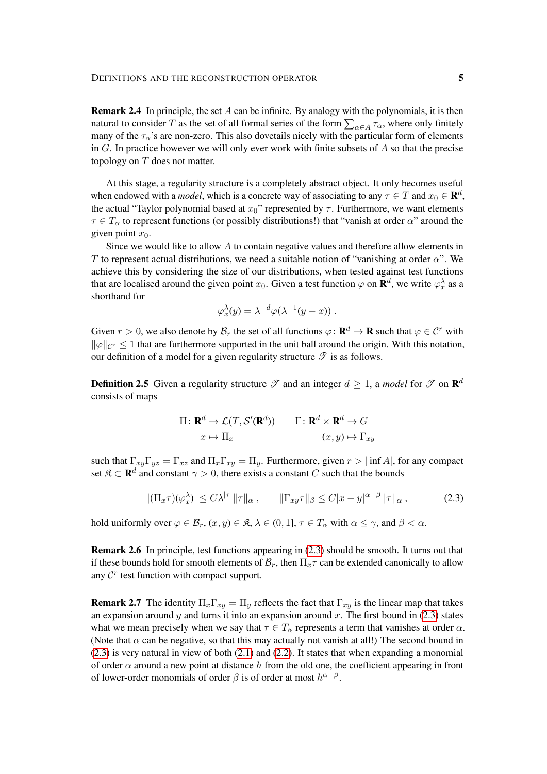**Remark 2.4** In principle, the set  $A$  can be infinite. By analogy with the polynomials, it is then natural to consider T as the set of all formal series of the form  $\sum_{\alpha \in A} \tau_\alpha$ , where only finitely many of the  $\tau_{\alpha}$ 's are non-zero. This also dovetails nicely with the particular form of elements in  $G$ . In practice however we will only ever work with finite subsets of  $A$  so that the precise topology on  $T$  does not matter.

At this stage, a regularity structure is a completely abstract object. It only becomes useful when endowed with a *model*, which is a concrete way of associating to any  $\tau \in T$  and  $x_0 \in \mathbf{R}^d$ , the actual "Taylor polynomial based at  $x_0$ " represented by  $\tau$ . Furthermore, we want elements  $\tau \in T_{\alpha}$  to represent functions (or possibly distributions!) that "vanish at order  $\alpha$ " around the given point  $x_0$ .

Since we would like to allow A to contain negative values and therefore allow elements in T to represent actual distributions, we need a suitable notion of "vanishing at order  $\alpha$ ". We achieve this by considering the size of our distributions, when tested against test functions that are localised around the given point  $x_0$ . Given a test function  $\varphi$  on  $\mathbf{R}^d$ , we write  $\varphi_x^{\lambda}$  as a shorthand for

$$
\varphi_x^{\lambda}(y) = \lambda^{-d} \varphi(\lambda^{-1}(y-x)) \; .
$$

Given  $r > 0$ , we also denote by  $\mathcal{B}_r$  the set of all functions  $\varphi \colon \mathbf{R}^d \to \mathbf{R}$  such that  $\varphi \in \mathcal{C}^r$  with  $\|\varphi\|_{\mathcal{C}^r} \leq 1$  that are furthermore supported in the unit ball around the origin. With this notation, our definition of a model for a given regularity structure  $\mathscr T$  is as follows.

<span id="page-4-1"></span>**Definition 2.5** Given a regularity structure  $\mathscr T$  and an integer  $d \geq 1$ , a *model* for  $\mathscr T$  on  $\mathbb R^d$ consists of maps

<span id="page-4-0"></span>
$$
\Pi: \mathbf{R}^{d} \to \mathcal{L}(T, \mathcal{S}'(\mathbf{R}^{d})) \qquad \Gamma: \mathbf{R}^{d} \times \mathbf{R}^{d} \to G
$$

$$
x \mapsto \Pi_{x} \qquad (x, y) \mapsto \Gamma_{xy}
$$

such that  $\Gamma_{xy}\Gamma_{yz} = \Gamma_{xz}$  and  $\Pi_x\Gamma_{xy} = \Pi_y$ . Furthermore, given  $r > |\inf A|$ , for any compact set  $\mathfrak{K} \subset \mathbf{R}^d$  and constant  $\gamma > 0$ , there exists a constant C such that the bounds

$$
|(\Pi_x \tau)(\varphi_x^{\lambda})| \le C\lambda^{|\tau|} \|\tau\|_{\alpha}, \qquad \|\Gamma_{xy}\tau\|_{\beta} \le C|x-y|^{\alpha-\beta}\|\tau\|_{\alpha}, \tag{2.3}
$$

hold uniformly over  $\varphi \in \mathcal{B}_r$ ,  $(x, y) \in \mathfrak{K}$ ,  $\lambda \in (0, 1]$ ,  $\tau \in T_\alpha$  with  $\alpha \leq \gamma$ , and  $\beta < \alpha$ .

Remark 2.6 In principle, test functions appearing in [\(2.3\)](#page-4-0) should be smooth. It turns out that if these bounds hold for smooth elements of  $\mathcal{B}_r$ , then  $\Pi_r\tau$  can be extended canonically to allow any  $\mathcal{C}^r$  test function with compact support.

**Remark 2.7** The identity  $\Pi_x \Gamma_{xy} = \Pi_y$  reflects the fact that  $\Gamma_{xy}$  is the linear map that takes an expansion around y and turns it into an expansion around x. The first bound in  $(2.3)$  states what we mean precisely when we say that  $\tau \in T_\alpha$  represents a term that vanishes at order  $\alpha$ . (Note that  $\alpha$  can be negative, so that this may actually not vanish at all!) The second bound in [\(2.3\)](#page-4-0) is very natural in view of both [\(2.1\)](#page-3-1) and [\(2.2\)](#page-3-2). It states that when expanding a monomial of order  $\alpha$  around a new point at distance h from the old one, the coefficient appearing in front of lower-order monomials of order  $\beta$  is of order at most  $h^{\alpha-\beta}$ .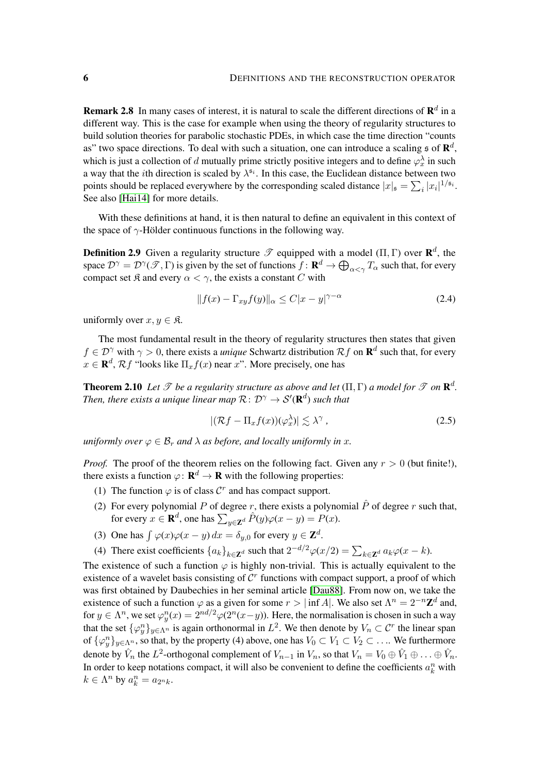**Remark 2.8** In many cases of interest, it is natural to scale the different directions of  $\mathbb{R}^d$  in a different way. This is the case for example when using the theory of regularity structures to build solution theories for parabolic stochastic PDEs, in which case the time direction "counts as" two space directions. To deal with such a situation, one can introduce a scaling  $\mathfrak s$  of  $\mathbb R^d$ , which is just a collection of d mutually prime strictly positive integers and to define  $\varphi_x^{\lambda}$  in such a way that the *i*th direction is scaled by  $\lambda^{5i}$ . In this case, the Euclidean distance between two points should be replaced everywhere by the corresponding scaled distance  $|x|_{\mathfrak{s}} = \sum_i |x_i|^{1/\mathfrak{s}_i}$ . See also [\[Hai14\]](#page-30-0) for more details.

With these definitions at hand, it is then natural to define an equivalent in this context of the space of  $\gamma$ -Hölder continuous functions in the following way.

**Definition 2.9** Given a regularity structure  $\mathscr T$  equipped with a model  $(\Pi, \Gamma)$  over  $\mathbb{R}^d$ , the space  $\mathcal{D}^{\gamma}=\mathcal{D}^{\gamma}(\mathscr{T},\Gamma)$  is given by the set of functions  $f\colon \mathbf{R}^d\to \bigoplus_{\alpha<\gamma}T_{\alpha}$  such that, for every compact set  $\Re$  and every  $\alpha < \gamma$ , the exists a constant C with

<span id="page-5-2"></span>
$$
||f(x) - \Gamma_{xy} f(y)||_{\alpha} \le C|x - y|^{\gamma - \alpha} \tag{2.4}
$$

uniformly over  $x, y \in \mathfrak{K}$ .

The most fundamental result in the theory of regularity structures then states that given  $f \in \mathcal{D}^{\gamma}$  with  $\gamma > 0$ , there exists a *unique* Schwartz distribution  $\mathcal{R}f$  on  $\mathbf{R}^d$  such that, for every  $x \in \mathbf{R}^d$ ,  $\mathcal{R}f$  "looks like  $\Pi_x f(x)$  near x". More precisely, one has

<span id="page-5-0"></span>**Theorem 2.10** Let  $\mathscr T$  be a regularity structure as above and let  $(\Pi, \Gamma)$  a model for  $\mathscr T$  on  $\mathbf{R}^d$ . Then, there exists a unique linear map  $\mathcal{R} \colon \mathcal{D}^{\gamma} \to \mathcal{S}'(\mathbf{R}^{d})$  such that

<span id="page-5-1"></span>
$$
|(\mathcal{R}f - \Pi_x f(x))(\varphi_x^{\lambda})| \lesssim \lambda^{\gamma}, \qquad (2.5)
$$

*uniformly over*  $\varphi \in \mathcal{B}_r$  *and*  $\lambda$  *as before, and locally uniformly in x*.

*Proof.* The proof of the theorem relies on the following fact. Given any  $r > 0$  (but finite!), there exists a function  $\varphi: \mathbf{R}^d \to \mathbf{R}$  with the following properties:

- (1) The function  $\varphi$  is of class  $\mathcal{C}^r$  and has compact support.
- (2) For every polynomial P of degree r, there exists a polynomial  $\hat{P}$  of degree r such that, for every  $x \in \mathbf{R}^d$ , one has  $\sum_{y \in \mathbf{Z}^d} \hat{P}(y) \varphi(x - y) = P(x)$ .
- (3) One has  $\int \varphi(x)\varphi(x-y) dx = \delta_{y,0}$  for every  $y \in \mathbb{Z}^d$ .
- (4) There exist coefficients  $\{a_k\}_{k\in\mathbb{Z}^d}$  such that  $2^{-d/2}\varphi(x/2) = \sum_{k\in\mathbb{Z}^d} a_k\varphi(x-k)$ .

The existence of such a function  $\varphi$  is highly non-trivial. This is actually equivalent to the existence of a wavelet basis consisting of  $C<sup>r</sup>$  functions with compact support, a proof of which was first obtained by Daubechies in her seminal article [\[Dau88\]](#page-30-14). From now on, we take the existence of such a function  $\varphi$  as a given for some  $r > |\inf A|$ . We also set  $\Lambda^n = 2^{-n} \mathbb{Z}^d$  and, for  $y \in \Lambda^n$ , we set  $\varphi_y^n(x) = 2^{nd/2} \varphi(2^n(x-y))$ . Here, the normalisation is chosen in such a way that the set  $\{\varphi^n_y\}_{y \in \Lambda^n}$  is again orthonormal in  $L^2$ . We then denote by  $V_n \subset \mathcal{C}^r$  the linear span of  $\{\varphi_y^n\}_{y \in \Lambda^n}$ , so that, by the property (4) above, one has  $V_0 \subset V_1 \subset V_2 \subset \ldots$  We furthermore denote by  $\hat{V}_n$  the  $L^2$ -orthogonal complement of  $V_{n-1}$  in  $V_n$ , so that  $V_n = V_0 \oplus \hat{V}_1 \oplus \ldots \oplus \hat{V}_n$ . In order to keep notations compact, it will also be convenient to define the coefficients  $a_k^n$  with  $k \in \Lambda^n$  by  $a_k^n = a_{2^n k}$ .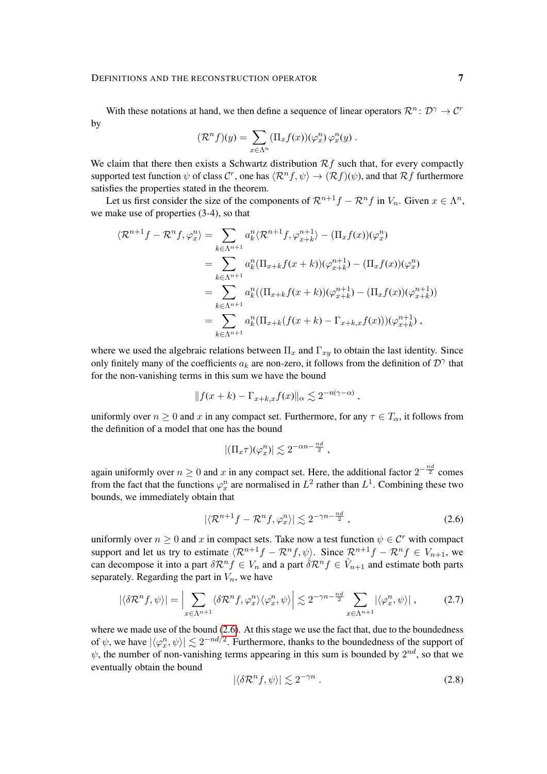## DEFINITIONS AND THE RECONSTRUCTION OPERATOR 7

With these notations at hand, we then define a sequence of linear operators  $\mathcal{R}^n$ :  $\mathcal{D}^{\gamma} \to \mathcal{C}^r$ by

$$
(\mathcal{R}^n f)(y) = \sum_{x \in \Lambda^n} (\Pi_x f(x)) (\varphi_x^n) \varphi_x^n(y) .
$$

We claim that there then exists a Schwartz distribution  $\mathcal{R}f$  such that, for every compactly supported test function  $\psi$  of class  $\mathcal{C}^r$ , one has  $\langle \mathcal{R}^n f, \psi \rangle \to (\mathcal{R}f)(\psi)$ , and that  $\mathcal{R}f$  furthermore satisfies the properties stated in the theorem.

Let us first consider the size of the components of  $\mathcal{R}^{n+1}f - \mathcal{R}^nf$  in  $V_n$ . Given  $x \in \Lambda^n$ , we make use of properties (3-4), so that

$$
\langle \mathcal{R}^{n+1}f - \mathcal{R}^n f, \varphi_x^n \rangle = \sum_{k \in \Lambda^{n+1}} a_k^n \langle \mathcal{R}^{n+1}f, \varphi_{x+k}^{n+1} \rangle - (\Pi_x f(x))(\varphi_x^n)
$$
  
\n
$$
= \sum_{k \in \Lambda^{n+1}} a_k^n (\Pi_{x+k} f(x+k))(\varphi_{x+k}^{n+1}) - (\Pi_x f(x))(\varphi_x^n)
$$
  
\n
$$
= \sum_{k \in \Lambda^{n+1}} a_k^n ((\Pi_{x+k} f(x+k))(\varphi_{x+k}^{n+1}) - (\Pi_x f(x))(\varphi_{x+k}^{n+1}))
$$
  
\n
$$
= \sum_{k \in \Lambda^{n+1}} a_k^n (\Pi_{x+k} (f(x+k) - \Gamma_{x+k,x} f(x)))(\varphi_{x+k}^{n+1}),
$$

where we used the algebraic relations between  $\Pi_x$  and  $\Gamma_{xy}$  to obtain the last identity. Since only finitely many of the coefficients  $a_k$  are non-zero, it follows from the definition of  $\mathcal{D}^{\gamma}$  that for the non-vanishing terms in this sum we have the bound

$$
||f(x+k)-\Gamma_{x+k,x}f(x)||_{\alpha} \lesssim 2^{-n(\gamma-\alpha)},
$$

uniformly over  $n \geq 0$  and x in any compact set. Furthermore, for any  $\tau \in T_{\alpha}$ , it follows from the definition of a model that one has the bound

<span id="page-6-0"></span>
$$
|(\Pi_x \tau)(\varphi_x^n)| \lesssim 2^{-\alpha n - \frac{nd}{2}},
$$

again uniformly over  $n \geq 0$  and x in any compact set. Here, the additional factor  $2^{-\frac{nd}{2}}$  comes from the fact that the functions  $\varphi_x^n$  are normalised in  $L^2$  rather than  $L^1$ . Combining these two bounds, we immediately obtain that

$$
|\langle \mathcal{R}^{n+1} f - \mathcal{R}^n f, \varphi_x^n \rangle| \lesssim 2^{-\gamma n - \frac{nd}{2}}, \tag{2.6}
$$

uniformly over  $n \geq 0$  and x in compact sets. Take now a test function  $\psi \in \mathcal{C}^r$  with compact support and let us try to estimate  $\langle \mathcal{R}^{n+1}f - \mathcal{R}^nf, \psi \rangle$ . Since  $\mathcal{R}^{n+1}f - \mathcal{R}^nf \in V_{n+1}$ , we can decompose it into a part  $\delta \mathcal{R}^n f \in V_n$  and a part  $\hat{\delta} \mathcal{R}^n f \in \hat{V}_{n+1}$  and estimate both parts separately. Regarding the part in  $V_n$ , we have

$$
|\langle \delta \mathcal{R}^n f, \psi \rangle| = \Big| \sum_{x \in \Lambda^{n+1}} \langle \delta \mathcal{R}^n f, \varphi_x^n \rangle \langle \varphi_x^n, \psi \rangle \Big| \lesssim 2^{-\gamma n - \frac{nd}{2}} \sum_{x \in \Lambda^{n+1}} |\langle \varphi_x^n, \psi \rangle| , \tag{2.7}
$$

where we made use of the bound  $(2.6)$ . At this stage we use the fact that, due to the boundedness of  $\psi$ , we have  $|\langle \varphi_x^n, \psi \rangle| \lesssim 2^{-nd/2}$ . Furthermore, thanks to the boundedness of the support of  $\psi$ , the number of non-vanishing terms appearing in this sum is bounded by  $2^{nd}$ , so that we eventually obtain the bound

<span id="page-6-2"></span><span id="page-6-1"></span>
$$
|\langle \delta \mathcal{R}^n f, \psi \rangle| \lesssim 2^{-\gamma n} \,. \tag{2.8}
$$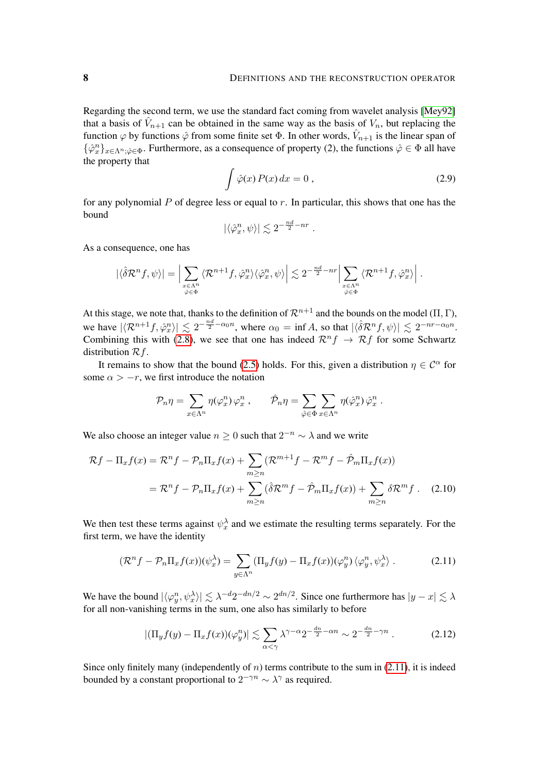Regarding the second term, we use the standard fact coming from wavelet analysis [\[Mey92\]](#page-30-15) that a basis of  $\hat{V}_{n+1}$  can be obtained in the same way as the basis of  $V_n$ , but replacing the function  $\varphi$  by functions  $\hat{\varphi}$  from some finite set  $\Phi$ . In other words,  $\hat{V}_{n+1}$  is the linear span of  $\{\hat{\varphi}_x^n\}_{x \in \Lambda^n; \hat{\varphi} \in \Phi}$ . Furthermore, as a consequence of property (2), the functions  $\hat{\varphi} \in \Phi$  all have the property that

<span id="page-7-2"></span>
$$
\int \hat{\varphi}(x) P(x) dx = 0 , \qquad (2.9)
$$

for any polynomial  $P$  of degree less or equal to  $r$ . In particular, this shows that one has the bound

$$
|\langle \hat{\varphi}^n_x, \psi \rangle| \lesssim 2^{-\frac{nd}{2}-nr} .
$$

As a consequence, one has

$$
|\langle \hat{\delta} \mathcal{R}^n f, \psi \rangle| = \Big| \sum_{\substack{x \in \Lambda^n \\ \hat{\varphi} \in \Phi}} \langle \mathcal{R}^{n+1} f, \hat{\varphi}^n_x \rangle \langle \hat{\varphi}^n_x, \psi \rangle \Big| \lesssim 2^{-\frac{nd}{2} - nr} \Big| \sum_{\substack{x \in \Lambda^n \\ \hat{\varphi} \in \Phi}} \langle \mathcal{R}^{n+1} f, \hat{\varphi}^n_x \rangle \Big|.
$$

At this stage, we note that, thanks to the definition of  $\mathcal{R}^{n+1}$  and the bounds on the model (Π, Γ), we have  $|\langle \mathcal{R}^{n+1}f, \hat{\varphi}_x^n \rangle| \lesssim 2^{-\frac{nd}{2}-\alpha_0 n}$ , where  $\alpha_0 = \inf A$ , so that  $|\langle \hat{\delta} \mathcal{R}^n f, \psi \rangle| \lesssim 2^{-nr-\alpha_0 n}$ . Combining this with [\(2.8\)](#page-6-1), we see that one has indeed  $\mathcal{R}^n f \to \mathcal{R} f$  for some Schwartz distribution  $\mathcal{R}f$ .

It remains to show that the bound [\(2.5\)](#page-5-1) holds. For this, given a distribution  $\eta \in C^{\alpha}$  for some  $\alpha > -r$ , we first introduce the notation

<span id="page-7-1"></span>
$$
\mathcal{P}_n \eta = \sum_{x \in \Lambda^n} \eta(\varphi^n_x) \varphi^n_x , \qquad \hat{\mathcal{P}}_n \eta = \sum_{\hat{\varphi} \in \Phi} \sum_{x \in \Lambda^n} \eta(\hat{\varphi}^n_x) \hat{\varphi}^n_x .
$$

We also choose an integer value  $n \geq 0$  such that  $2^{-n} \sim \lambda$  and we write

$$
\mathcal{R}f - \Pi_x f(x) = \mathcal{R}^n f - \mathcal{P}_n \Pi_x f(x) + \sum_{m \ge n} (\mathcal{R}^{m+1} f - \mathcal{R}^m f - \hat{\mathcal{P}}_m \Pi_x f(x))
$$
  
=  $\mathcal{R}^n f - \mathcal{P}_n \Pi_x f(x) + \sum_{m \ge n} (\hat{\delta} \mathcal{R}^m f - \hat{\mathcal{P}}_m \Pi_x f(x)) + \sum_{m \ge n} \delta \mathcal{R}^m f.$  (2.10)

We then test these terms against  $\psi_x^{\lambda}$  and we estimate the resulting terms separately. For the first term, we have the identity

$$
(\mathcal{R}^n f - \mathcal{P}_n \Pi_x f(x))(\psi_x^{\lambda}) = \sum_{y \in \Lambda^n} (\Pi_y f(y) - \Pi_x f(x))(\varphi_y^n) \langle \varphi_y^n, \psi_x^{\lambda} \rangle. \tag{2.11}
$$

We have the bound  $|\langle \varphi^n_y, \psi^{\lambda}_x \rangle| \lesssim \lambda^{-d} 2^{-dn/2} \sim 2^{dn/2}$ . Since one furthermore has  $|y-x| \lesssim \lambda$ for all non-vanishing terms in the sum, one also has similarly to before

<span id="page-7-3"></span><span id="page-7-0"></span>
$$
|(\Pi_y f(y) - \Pi_x f(x))(\varphi_y^n)| \lesssim \sum_{\alpha < \gamma} \lambda^{\gamma - \alpha} 2^{-\frac{dn}{2} - \alpha n} \sim 2^{-\frac{dn}{2} - \gamma n} \,. \tag{2.12}
$$

Since only finitely many (independently of  $n$ ) terms contribute to the sum in [\(2.11\)](#page-7-0), it is indeed bounded by a constant proportional to  $2^{-\gamma n} \sim \lambda^{\gamma}$  as required.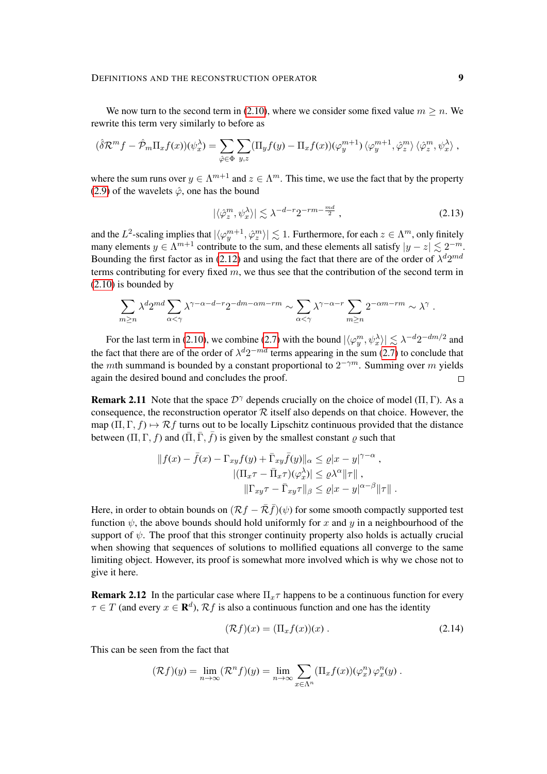We now turn to the second term in [\(2.10\)](#page-7-1), where we consider some fixed value  $m \ge n$ . We rewrite this term very similarly to before as

$$
(\hat{\delta}\mathcal{R}^m f - \hat{\mathcal{P}}_m \Pi_x f(x))(\psi_x^{\lambda}) = \sum_{\hat{\varphi} \in \Phi} \sum_{y,z} (\Pi_y f(y) - \Pi_x f(x))(\varphi_y^{m+1}) \langle \varphi_y^{m+1}, \hat{\varphi}_z^m \rangle \langle \hat{\varphi}_z^m, \psi_x^{\lambda} \rangle,
$$

where the sum runs over  $y \in \Lambda^{m+1}$  and  $z \in \Lambda^m$ . This time, we use the fact that by the property [\(2.9\)](#page-7-2) of the wavelets  $\hat{\varphi}$ , one has the bound

$$
|\langle \hat{\varphi}_z^m, \psi_x^{\lambda} \rangle| \lesssim \lambda^{-d-r} 2^{-rm - \frac{md}{2}}, \qquad (2.13)
$$

and the  $L^2$ -scaling implies that  $|\langle \varphi_y^{m+1}, \hat{\varphi}_z^{m} \rangle| \lesssim 1$ . Furthermore, for each  $z \in \Lambda^m$ , only finitely many elements  $y \in \Lambda^{m+1}$  contribute to the sum, and these elements all satisfy  $|y - z| \lesssim 2^{-m}$ . Bounding the first factor as in [\(2.12\)](#page-7-3) and using the fact that there are of the order of  $\lambda^d 2^{md}$ terms contributing for every fixed  $m$ , we thus see that the contribution of the second term in [\(2.10\)](#page-7-1) is bounded by

$$
\sum_{m\geq n}\lambda^d 2^{md}\sum_{\alpha<\gamma}\lambda^{\gamma-\alpha-d-r}2^{-dm-\alpha m-rm}\sim \sum_{\alpha<\gamma}\lambda^{\gamma-\alpha-r}\sum_{m\geq n}2^{-\alpha m-rm}\sim \lambda^\gamma\;.
$$

For the last term in [\(2.10\)](#page-7-1), we combine [\(2.7\)](#page-6-2) with the bound  $|\langle \varphi_y^m, \psi_x^{\lambda} \rangle| \lesssim \lambda^{-d} 2^{-dm/2}$  and the fact that there are of the order of  $\lambda^d 2^{-md}$  terms appearing in the sum [\(2.7\)](#page-6-2) to conclude that the mth summand is bounded by a constant proportional to  $2^{-\gamma m}$ . Summing over m yields again the desired bound and concludes the proof.  $\Box$ 

**Remark 2.11** Note that the space  $\mathcal{D}^{\gamma}$  depends crucially on the choice of model ( $\Pi$ ,  $\Gamma$ ). As a consequence, the reconstruction operator  $R$  itself also depends on that choice. However, the map  $(\Pi, \Gamma, f) \mapsto \mathcal{R}f$  turns out to be locally Lipschitz continuous provided that the distance between  $(\Pi, \Gamma, f)$  and  $(\overline{\Pi}, \overline{\Gamma}, \overline{f})$  is given by the smallest constant  $\rho$  such that

$$
||f(x) - \bar{f}(x) - \Gamma_{xy}f(y) + \bar{\Gamma}_{xy}\bar{f}(y)||_{\alpha} \leq \varrho |x - y|^{\gamma - \alpha} ,
$$
  

$$
|(\Pi_x \tau - \bar{\Pi}_x \tau)(\varphi_x^{\lambda})| \leq \varrho \lambda^{\alpha} ||\tau||,
$$
  

$$
||\Gamma_{xy} \tau - \bar{\Gamma}_{xy} \tau||_{\beta} \leq \varrho |x - y|^{\alpha - \beta} ||\tau||.
$$

Here, in order to obtain bounds on  $(\mathcal{R}f - \bar{\mathcal{R}}f)(\psi)$  for some smooth compactly supported test function  $\psi$ , the above bounds should hold uniformly for x and y in a neighbourhood of the support of  $\psi$ . The proof that this stronger continuity property also holds is actually crucial when showing that sequences of solutions to mollified equations all converge to the same limiting object. However, its proof is somewhat more involved which is why we chose not to give it here.

<span id="page-8-1"></span>**Remark 2.12** In the particular case where  $\Pi_x \tau$  happens to be a continuous function for every  $\tau \in T$  (and every  $x \in \mathbf{R}^d$ ),  $\mathcal{R}f$  is also a continuous function and one has the identity

<span id="page-8-0"></span>
$$
(\mathcal{R}f)(x) = (\Pi_x f(x))(x) . \tag{2.14}
$$

This can be seen from the fact that

$$
(\mathcal{R}f)(y) = \lim_{n \to \infty} (\mathcal{R}^n f)(y) = \lim_{n \to \infty} \sum_{x \in \Lambda^n} (\Pi_x f(x)) (\varphi_x^n) \varphi_x^n(y) .
$$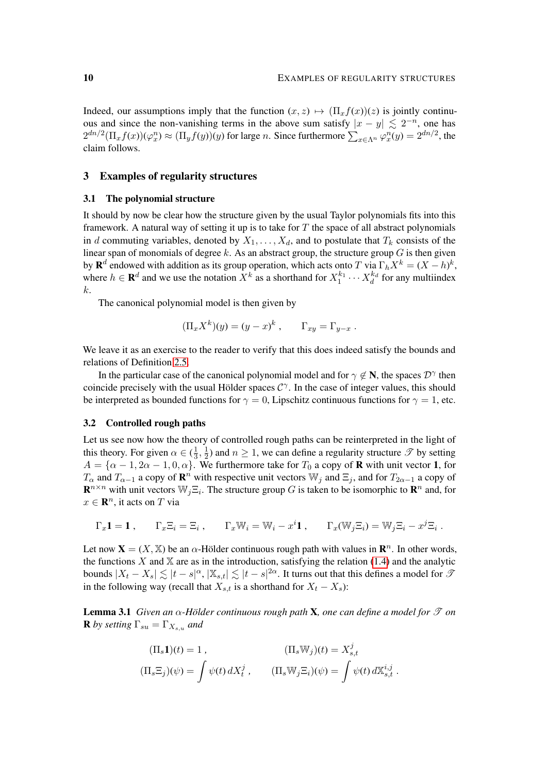Indeed, our assumptions imply that the function  $(x, z) \mapsto (\Pi_x f(x))(z)$  is jointly continuous and since the non-vanishing terms in the above sum satisfy  $|x - y| \lesssim 2^{-n}$ , one has  $2^{dn/2}(\Pi_x f(x))(\varphi_x^n) \approx (\Pi_y f(y))(y)$  for large *n*. Since furthermore  $\sum_{x \in \Lambda^n} \varphi_x^n(y) = 2^{dn/2}$ , the claim follows.

## <span id="page-9-0"></span>3 Examples of regularity structures

#### <span id="page-9-1"></span>3.1 The polynomial structure

It should by now be clear how the structure given by the usual Taylor polynomials fits into this framework. A natural way of setting it up is to take for  $T$  the space of all abstract polynomials in d commuting variables, denoted by  $X_1, \ldots, X_d$ , and to postulate that  $T_k$  consists of the linear span of monomials of degree  $k$ . As an abstract group, the structure group  $G$  is then given by  $\mathbf{R}^d$  endowed with addition as its group operation, which acts onto T via  $\Gamma_h X^k = (X - h)^k$ , where  $h \in \mathbf{R}^d$  and we use the notation  $X^k$  as a shorthand for  $X_1^{k_1} \cdots X_d^{k_d}$  for any multiindex k.

The canonical polynomial model is then given by

$$
(\Pi_x X^k)(y) = (y - x)^k, \qquad \Gamma_{xy} = \Gamma_{y-x} .
$$

We leave it as an exercise to the reader to verify that this does indeed satisfy the bounds and relations of Definition [2.5.](#page-4-1)

In the particular case of the canonical polynomial model and for  $\gamma \notin \mathbb{N}$ , the spaces  $\mathcal{D}^{\gamma}$  then coincide precisely with the usual Hölder spaces  $C^{\gamma}$ . In the case of integer values, this should be interpreted as bounded functions for  $\gamma = 0$ , Lipschitz continuous functions for  $\gamma = 1$ , etc.

## 3.2 Controlled rough paths

Let us see now how the theory of controlled rough paths can be reinterpreted in the light of this theory. For given  $\alpha \in (\frac{1}{3})$  $\frac{1}{3}, \frac{1}{2}$  $\frac{1}{2}$ ) and  $n \ge 1$ , we can define a regularity structure  $\mathscr{T}$  by setting  $A = {\alpha - 1, 2\alpha - 1, 0, \alpha}$ . We furthermore take for  $T_0$  a copy of **R** with unit vector 1, for  $T_\alpha$  and  $T_{\alpha-1}$  a copy of  $\mathbf{R}^n$  with respective unit vectors  $\mathbb{W}_j$  and  $\Xi_j$ , and for  $T_{2\alpha-1}$  a copy of  $\mathbf{R}^{n \times n}$  with unit vectors  $\mathbb{W}_j \Xi_i$ . The structure group G is taken to be isomorphic to  $\mathbf{R}^n$  and, for  $x \in \mathbb{R}^n$ , it acts on T via

$$
\Gamma_x \mathbf{1} = \mathbf{1} , \qquad \Gamma_x \Xi_i = \Xi_i , \qquad \Gamma_x \mathbb{W}_i = \mathbb{W}_i - x^i \mathbf{1} , \qquad \Gamma_x (\mathbb{W}_j \Xi_i) = \mathbb{W}_j \Xi_i - x^j \Xi_i .
$$

Let now  $\mathbf{X} = (X, \mathbb{X})$  be an  $\alpha$ -Hölder continuous rough path with values in  $\mathbf{R}^n$ . In other words, the functions  $X$  and  $X$  are as in the introduction, satisfying the relation [\(1.4\)](#page-2-3) and the analytic bounds  $|X_t - X_s| \lesssim |t - s|^\alpha$ ,  $|\mathbb{X}_{s,t}| \lesssim |t - s|^{2\alpha}$ . It turns out that this defines a model for  $\mathcal{I}$ in the following way (recall that  $X_{s,t}$  is a shorthand for  $X_t - X_s$ ):

Lemma 3.1 *Given an* α*-Holder continuous rough path ¨* X*, one can define a model for* T *on* **R** by setting  $\Gamma_{su} = \Gamma_{X_{s,u}}$  and

$$
\begin{aligned} (\Pi_s \mathbf{1})(t) &= 1 \,, & (\Pi_s \mathbb{W}_j)(t) &= X_{s,t}^j \\ (\Pi_s \Xi_j)(\psi) &= \int \psi(t) \, dX_t^j \,, & (\Pi_s \mathbb{W}_j \Xi_i)(\psi) &= \int \psi(t) \, dX_{s,t}^{i,j} \,. \end{aligned}
$$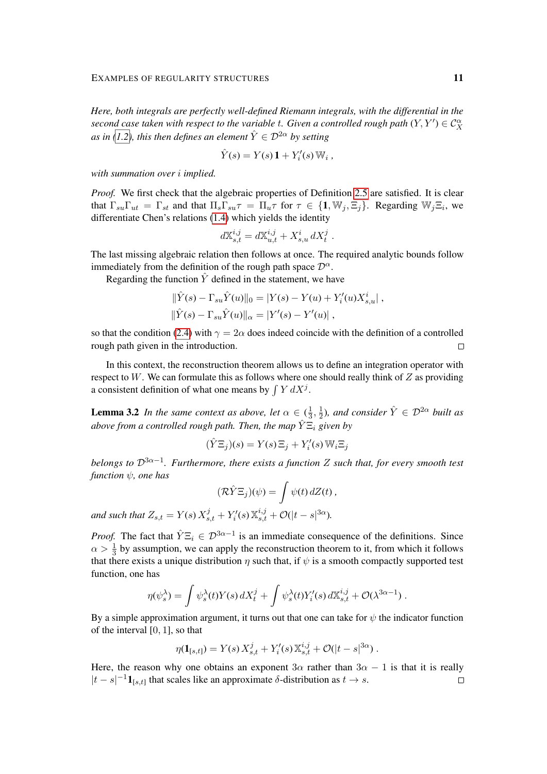*Here, both integrals are perfectly well-defined Riemann integrals, with the differential in the* second case taken with respect to the variable  $t.$  Given a controlled rough path  $(Y, Y') \in \mathcal{C}^\alpha_X$ *as in [\(1.2\)](#page-2-1), this then defines an element*  $\hat{Y} \in \mathcal{D}^{2\alpha}$  *by setting* 

$$
\hat{Y}(s) = Y(s)\mathbf{1} + Y_i'(s)\,\mathbb{W}_i,
$$

*with summation over* i *implied.*

*Proof.* We first check that the algebraic properties of Definition [2.5](#page-4-1) are satisfied. It is clear that  $\Gamma_{su}\Gamma_{ut} = \Gamma_{st}$  and that  $\Pi_s\Gamma_{su}\tau = \Pi_u\tau$  for  $\tau \in \{1, \mathbb{W}_j, \Xi_j\}$ . Regarding  $\mathbb{W}_j\Xi_i$ , we differentiate Chen's relations [\(1.4\)](#page-2-3) which yields the identity

$$
d\mathbb{X}_{s,t}^{i,j} = d\mathbb{X}_{u,t}^{i,j} + X_{s,u}^i dX_t^j.
$$

The last missing algebraic relation then follows at once. The required analytic bounds follow immediately from the definition of the rough path space  $\mathcal{D}^{\alpha}$ .

Regarding the function  $\hat{Y}$  defined in the statement, we have

$$
\|\hat{Y}(s) - \Gamma_{su}\hat{Y}(u)\|_{0} = |Y(s) - Y(u) + Y'_{i}(u)X^{i}_{s,u}|,
$$
  

$$
\|\hat{Y}(s) - \Gamma_{su}\hat{Y}(u)\|_{\alpha} = |Y'(s) - Y'(u)|,
$$

so that the condition [\(2.4\)](#page-5-2) with  $\gamma = 2\alpha$  does indeed coincide with the definition of a controlled rough path given in the introduction.  $\Box$ 

In this context, the reconstruction theorem allows us to define an integration operator with respect to  $W$ . We can formulate this as follows where one should really think of  $Z$  as providing a consistent definition of what one means by  $\int Y dX^j$ .

<span id="page-10-0"></span>**Lemma 3.2** *In the same context as above, let*  $\alpha \in (\frac{1}{3})$  $\frac{1}{3}, \frac{1}{2}$  $\frac{1}{2}$ ), and consider  $\hat{Y} \in \mathcal{D}^{2\alpha}$  built as *above from a controlled rough path. Then, the map*  $\overline{Y} \Xi_i$  *given by* 

$$
(\hat{Y}\Xi_j)(s) = Y(s)\Xi_j + Y_i'(s)\,\mathbb{W}_i\Xi_j
$$

*belongs to* D3α−<sup>1</sup> *. Furthermore, there exists a function* Z *such that, for every smooth test function* ψ*, one has*

$$
(\mathcal{R}\hat{Y}\Xi_j)(\psi)=\int \psi(t)\,dZ(t)\,,
$$

and such that  $Z_{s,t} = Y(s) X_{s,t}^j + Y_i'(s) X_{s,t}^{i,j} + \mathcal{O}(|t-s|^{3\alpha}).$ 

*Proof.* The fact that  $\hat{Y} \Xi_i \in \mathcal{D}^{3\alpha-1}$  is an immediate consequence of the definitions. Since  $\alpha > \frac{1}{3}$  by assumption, we can apply the reconstruction theorem to it, from which it follows that there exists a unique distribution  $\eta$  such that, if  $\psi$  is a smooth compactly supported test function, one has

$$
\eta(\psi_s^{\lambda}) = \int \psi_s^{\lambda}(t) Y(s) dX_t^{j} + \int \psi_s^{\lambda}(t) Y_i'(s) dX_{s,t}^{i,j} + \mathcal{O}(\lambda^{3\alpha - 1}).
$$

By a simple approximation argument, it turns out that one can take for  $\psi$  the indicator function of the interval [0, 1], so that

$$
\eta(\mathbf{1}_{[s,t]}) = Y(s) X_{s,t}^j + Y_t'(s) X_{s,t}^{i,j} + \mathcal{O}(|t-s|^{3\alpha}).
$$

Here, the reason why one obtains an exponent  $3\alpha$  rather than  $3\alpha - 1$  is that it is really  $|t - s|^{-1} \mathbf{1}_{[s,t]}$  that scales like an approximate  $\delta$ -distribution as  $t \to s$ .  $\Box$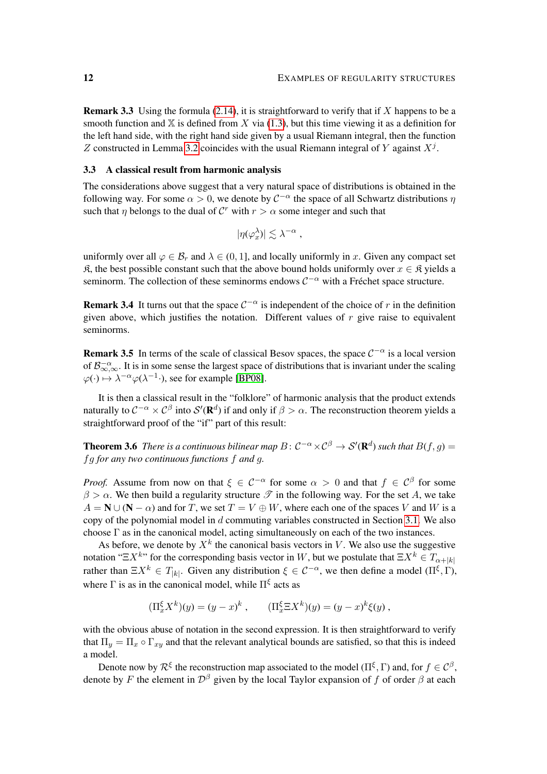**Remark 3.3** Using the formula [\(2.14\)](#page-8-0), it is straightforward to verify that if  $X$  happens to be a smooth function and  $X$  is defined from X via [\(1.3\)](#page-2-4), but this time viewing it as a definition for the left hand side, with the right hand side given by a usual Riemann integral, then the function Z constructed in Lemma [3.2](#page-10-0) coincides with the usual Riemann integral of Y against  $X^j$ .

## <span id="page-11-1"></span>3.3 A classical result from harmonic analysis

The considerations above suggest that a very natural space of distributions is obtained in the following way. For some  $\alpha > 0$ , we denote by  $C^{-\alpha}$  the space of all Schwartz distributions  $\eta$ such that  $\eta$  belongs to the dual of  $\mathcal{C}^r$  with  $r > \alpha$  some integer and such that

$$
|\eta(\varphi_x^{\lambda})| \lesssim \lambda^{-\alpha} ,
$$

uniformly over all  $\varphi \in \mathcal{B}_r$  and  $\lambda \in (0, 1]$ , and locally uniformly in x. Given any compact set  $\mathfrak{K}$ , the best possible constant such that the above bound holds uniformly over  $x \in \mathfrak{K}$  yields a seminorm. The collection of these seminorms endows  $C^{-\alpha}$  with a Fréchet space structure.

**Remark 3.4** It turns out that the space  $C^{-\alpha}$  is independent of the choice of r in the definition given above, which justifies the notation. Different values of  $r$  give raise to equivalent seminorms.

**Remark 3.5** In terms of the scale of classical Besov spaces, the space  $C^{-\alpha}$  is a local version of  $\mathcal{B}^{-\alpha}_{\infty,\infty}$ . It is in some sense the largest space of distributions that is invariant under the scaling  $\varphi(\cdot) \mapsto \lambda^{-\alpha} \varphi(\lambda^{-1} \cdot)$ , see for example [\[BP08\]](#page-30-16).

It is then a classical result in the "folklore" of harmonic analysis that the product extends naturally to  $C^{-\alpha}\times C^{\beta}$  into  $\mathcal{S}'(\mathbf{R}^d)$  if and only if  $\beta>\alpha$ . The reconstruction theorem yields a straightforward proof of the "if" part of this result:

<span id="page-11-0"></span>**Theorem 3.6** There is a continuous bilinear map  $B: C^{-\alpha} \times C^{\beta} \to S'(\mathbf{R}^d)$  such that  $B(f, g) =$ fg *for any two continuous functions* f *and* g*.*

*Proof.* Assume from now on that  $\xi \in C^{-\alpha}$  for some  $\alpha > 0$  and that  $f \in C^{\beta}$  for some  $\beta > \alpha$ . We then build a regularity structure  $\mathscr T$  in the following way. For the set A, we take  $A = N \cup (N - \alpha)$  and for T, we set  $T = V \oplus W$ , where each one of the spaces V and W is a copy of the polynomial model in d commuting variables constructed in Section [3.1.](#page-9-1) We also choose  $\Gamma$  as in the canonical model, acting simultaneously on each of the two instances.

As before, we denote by  $X^k$  the canonical basis vectors in V. We also use the suggestive notation "Ξ $X^k$ " for the corresponding basis vector in W, but we postulate that  $\Xi X^k \in T_{\alpha+|k|}$ rather than  $\Xi X^k \in T_{|k|}$ . Given any distribution  $\xi \in C^{-\alpha}$ , we then define a model  $(\Pi^{\xi}, \Gamma)$ , where  $\Gamma$  is as in the canonical model, while  $\Pi^{\xi}$  acts as

$$
(\Pi_x^{\xi} X^k)(y) = (y - x)^k
$$
,  $(\Pi_x^{\xi} \Xi X^k)(y) = (y - x)^k \xi(y)$ ,

with the obvious abuse of notation in the second expression. It is then straightforward to verify that  $\Pi_u = \Pi_x \circ \Gamma_{x}$  and that the relevant analytical bounds are satisfied, so that this is indeed a model.

Denote now by  $\mathcal{R}^{\xi}$  the reconstruction map associated to the model ( $\Pi^{\xi}, \Gamma$ ) and, for  $f \in \mathcal{C}^{\beta}$ , denote by F the element in  $\mathcal{D}^{\beta}$  given by the local Taylor expansion of f of order  $\beta$  at each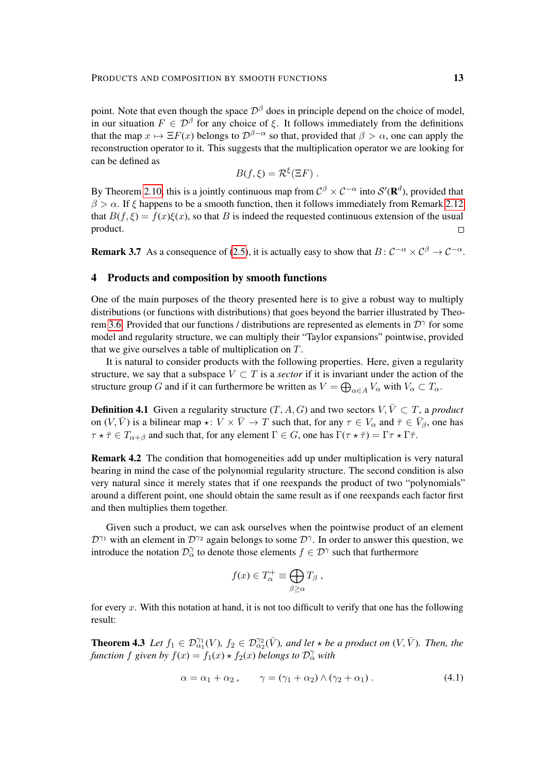point. Note that even though the space  $\mathcal{D}^{\beta}$  does in principle depend on the choice of model, in our situation  $F \in \mathcal{D}^{\beta}$  for any choice of  $\xi$ . It follows immediately from the definitions that the map  $x \mapsto \Xi F(x)$  belongs to  $\mathcal{D}^{\beta-\alpha}$  so that, provided that  $\beta > \alpha$ , one can apply the reconstruction operator to it. This suggests that the multiplication operator we are looking for can be defined as

$$
B(f,\xi)=\mathcal{R}^{\xi}(\Xi F).
$$

By Theorem [2.10,](#page-5-0) this is a jointly continuous map from  $\mathcal{C}^{\beta} \times \mathcal{C}^{-\alpha}$  into  $\mathcal{S}'(\mathbf{R}^d)$ , provided that  $\beta > \alpha$ . If  $\xi$  happens to be a smooth function, then it follows immediately from Remark [2.12](#page-8-1) that  $B(f, \xi) = f(x)\xi(x)$ , so that B is indeed the requested continuous extension of the usual product.  $\Box$ 

**Remark 3.7** As a consequence of [\(2.5\)](#page-5-1), it is actually easy to show that  $B: \mathcal{C}^{-\alpha} \times \mathcal{C}^{\beta} \to \mathcal{C}^{-\alpha}$ .

## <span id="page-12-0"></span>4 Products and composition by smooth functions

One of the main purposes of the theory presented here is to give a robust way to multiply distributions (or functions with distributions) that goes beyond the barrier illustrated by Theo-rem [3.6.](#page-11-0) Provided that our functions / distributions are represented as elements in  $\mathcal{D}^{\gamma}$  for some model and regularity structure, we can multiply their "Taylor expansions" pointwise, provided that we give ourselves a table of multiplication on  $T$ .

It is natural to consider products with the following properties. Here, given a regularity structure, we say that a subspace  $V \subset T$  is a *sector* if it is invariant under the action of the structure group G and if it can furthermore be written as  $V = \bigoplus_{\alpha \in A} V_{\alpha}$  with  $V_{\alpha} \subset T_{\alpha}$ .

**Definition 4.1** Given a regularity structure  $(T, A, G)$  and two sectors  $V, \overline{V} \subset T$ , a *product* on  $(V, \bar{V})$  is a bilinear map  $\star : V \times \bar{V} \to T$  such that, for any  $\tau \in V_\alpha$  and  $\bar{\tau} \in \bar{V}_\beta$ , one has  $\tau \star \bar{\tau} \in T_{\alpha+\beta}$  and such that, for any element  $\Gamma \in G$ , one has  $\Gamma(\tau \star \bar{\tau}) = \Gamma \tau \star \Gamma \bar{\tau}$ .

Remark 4.2 The condition that homogeneities add up under multiplication is very natural bearing in mind the case of the polynomial regularity structure. The second condition is also very natural since it merely states that if one reexpands the product of two "polynomials" around a different point, one should obtain the same result as if one reexpands each factor first and then multiplies them together.

Given such a product, we can ask ourselves when the pointwise product of an element  $\mathcal{D}^{\gamma_1}$  with an element in  $\mathcal{D}^{\gamma_2}$  again belongs to some  $\mathcal{D}^{\gamma}$ . In order to answer this question, we introduce the notation  $\mathcal{D}_{\alpha}^{\gamma}$  to denote those elements  $f \in \mathcal{D}^{\gamma}$  such that furthermore

<span id="page-12-1"></span>
$$
f(x) \in T_{\alpha}^{+} \equiv \bigoplus_{\beta \geq \alpha} T_{\beta} ,
$$

for every x. With this notation at hand, it is not too difficult to verify that one has the following result:

<span id="page-12-2"></span>**Theorem 4.3** Let  $f_1 \in \mathcal{D}^{\gamma_1}_{\alpha_1}(V)$ ,  $f_2 \in \mathcal{D}^{\gamma_2}_{\alpha_2}(\bar{V})$ , and let  $\star$  be a product on  $(V, \bar{V})$ . Then, the *function*  $f$  given by  $f(x) = f_1(x) \star f_2(x)$  *belongs to*  $\mathcal{D}^{\gamma}_{\alpha}$  *with* 

$$
\alpha = \alpha_1 + \alpha_2, \qquad \gamma = (\gamma_1 + \alpha_2) \wedge (\gamma_2 + \alpha_1). \tag{4.1}
$$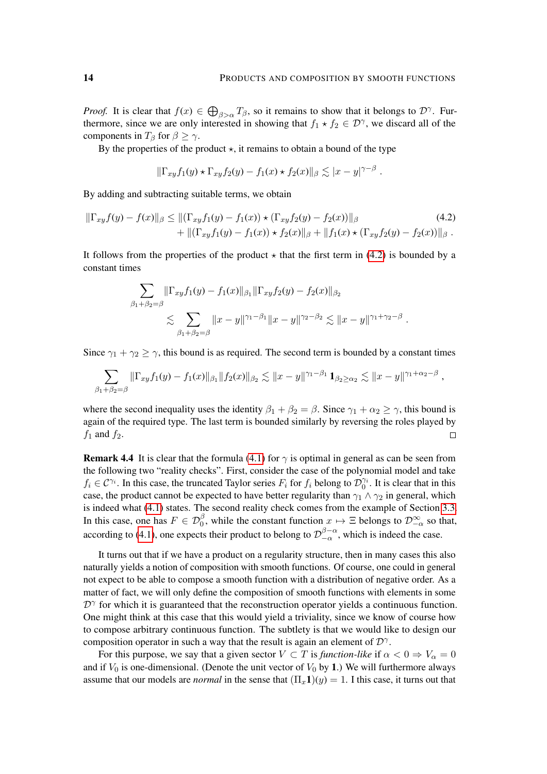<span id="page-13-0"></span>,

*Proof.* It is clear that  $f(x) \in \bigoplus_{\beta > \alpha} T_{\beta}$ , so it remains to show that it belongs to  $\mathcal{D}^{\gamma}$ . Furthermore, since we are only interested in showing that  $f_1 \star f_2 \in \mathcal{D}^{\gamma}$ , we discard all of the components in  $T_\beta$  for  $\beta \geq \gamma$ .

By the properties of the product  $\star$ , it remains to obtain a bound of the type

$$
\|\Gamma_{xy}f_1(y)\star \Gamma_{xy}f_2(y)-f_1(x)\star f_2(x)\|_{\beta}\lesssim |x-y|^{\gamma-\beta}.
$$

By adding and subtracting suitable terms, we obtain

$$
\|\Gamma_{xy}f(y) - f(x)\|_{\beta} \le \|\left(\Gamma_{xy}f_1(y) - f_1(x)\right) \star \left(\Gamma_{xy}f_2(y) - f_2(x)\right)\|_{\beta} + \|\left(\Gamma_{xy}f_1(y) - f_1(x)\right) \star f_2(x)\|_{\beta} + \|f_1(x) \star \left(\Gamma_{xy}f_2(y) - f_2(x)\right)\|_{\beta}.
$$
\n(4.2)

It follows from the properties of the product  $\star$  that the first term in [\(4.2\)](#page-13-0) is bounded by a constant times

$$
\sum_{\beta_1+\beta_2=\beta} \|\Gamma_{xy}f_1(y) - f_1(x)\|_{\beta_1} \|\Gamma_{xy}f_2(y) - f_2(x)\|_{\beta_2}
$$
  

$$
\lesssim \sum_{\beta_1+\beta_2=\beta} \|x - y\|^{\gamma_1-\beta_1} \|x - y\|^{\gamma_2-\beta_2} \lesssim \|x - y\|^{\gamma_1+\gamma_2-\beta}.
$$

Since  $\gamma_1 + \gamma_2 \ge \gamma$ , this bound is as required. The second term is bounded by a constant times

$$
\sum_{\beta_1+\beta_2=\beta} \|\Gamma_{xy}f_1(y)-f_1(x)\|_{\beta_1} \|f_2(x)\|_{\beta_2} \lesssim \|x-y\|^{\gamma_1-\beta_1} \mathbf{1}_{\beta_2 \geq \alpha_2} \lesssim \|x-y\|^{\gamma_1+\alpha_2-\beta}
$$

where the second inequality uses the identity  $\beta_1 + \beta_2 = \beta$ . Since  $\gamma_1 + \alpha_2 \ge \gamma$ , this bound is again of the required type. The last term is bounded similarly by reversing the roles played by  $f_1$  and  $f_2$ .  $\Box$ 

**Remark 4.4** It is clear that the formula [\(4.1\)](#page-12-1) for  $\gamma$  is optimal in general as can be seen from the following two "reality checks". First, consider the case of the polynomial model and take  $f_i \in C^{\gamma_i}$ . In this case, the truncated Taylor series  $F_i$  for  $f_i$  belong to  $\mathcal{D}_0^{\gamma_i}$ . It is clear that in this case, the product cannot be expected to have better regularity than  $\gamma_1 \wedge \gamma_2$  in general, which is indeed what [\(4.1\)](#page-12-1) states. The second reality check comes from the example of Section [3.3.](#page-11-1) In this case, one has  $F \in \mathcal{D}_0^{\beta}$ , while the constant function  $x \mapsto \Xi$  belongs to  $\mathcal{D}_{-\alpha}^{\infty}$  so that, according to [\(4.1\)](#page-12-1), one expects their product to belong to  $\mathcal{D}_{-\alpha}^{\beta-\alpha}$  $\int_{-\alpha}^{\beta-\alpha}$ , which is indeed the case.

It turns out that if we have a product on a regularity structure, then in many cases this also naturally yields a notion of composition with smooth functions. Of course, one could in general not expect to be able to compose a smooth function with a distribution of negative order. As a matter of fact, we will only define the composition of smooth functions with elements in some  $\mathcal{D}^{\gamma}$  for which it is guaranteed that the reconstruction operator yields a continuous function. One might think at this case that this would yield a triviality, since we know of course how to compose arbitrary continuous function. The subtlety is that we would like to design our composition operator in such a way that the result is again an element of  $\mathcal{D}^{\gamma}$ .

For this purpose, we say that a given sector  $V \subset T$  is *function-like* if  $\alpha < 0 \Rightarrow V_{\alpha} = 0$ and if  $V_0$  is one-dimensional. (Denote the unit vector of  $V_0$  by 1.) We will furthermore always assume that our models are *normal* in the sense that  $(\Pi_x 1)(y) = 1$ . I this case, it turns out that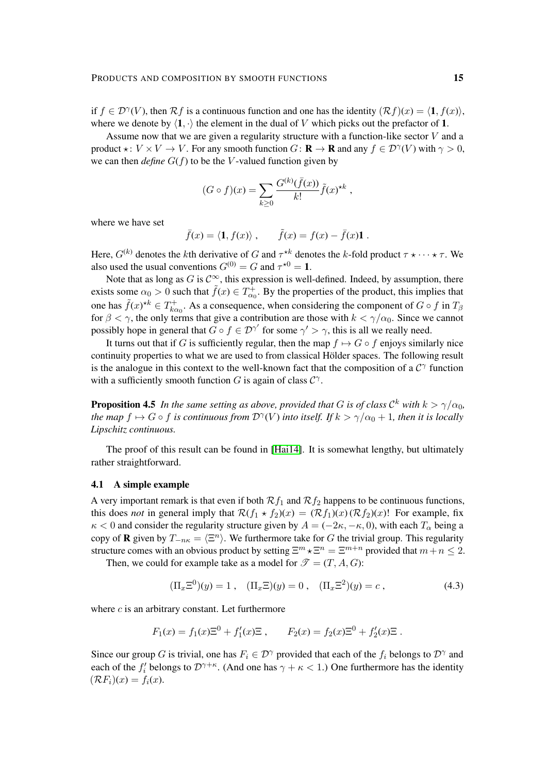if  $f \in \mathcal{D}^{\gamma}(V)$ , then  $\mathcal{R}f$  is a continuous function and one has the identity  $(\mathcal{R}f)(x) = \langle \mathbf{1}, f(x) \rangle$ , where we denote by  $\langle 1, \cdot \rangle$  the element in the dual of V which picks out the prefactor of 1.

Assume now that we are given a regularity structure with a function-like sector V and a product  $\star: V \times V \to V$ . For any smooth function  $G: \mathbf{R} \to \mathbf{R}$  and any  $f \in \mathcal{D}^{\gamma}(V)$  with  $\gamma > 0$ , we can then *define*  $G(f)$  to be the V-valued function given by

$$
(G \circ f)(x) = \sum_{k \ge 0} \frac{G^{(k)}(\bar{f}(x))}{k!} \tilde{f}(x)^{\star k} ,
$$

where we have set

$$
\bar{f}(x) = \langle \mathbf{1}, f(x) \rangle
$$
,  $\tilde{f}(x) = f(x) - \bar{f}(x)\mathbf{1}$ .

Here,  $G^{(k)}$  denotes the kth derivative of G and  $\tau^{*k}$  denotes the k-fold product  $\tau \star \cdots \star \tau$ . We also used the usual conventions  $G^{(0)} = G$  and  $\tau^{\star 0} = 1$ .

Note that as long as G is  $\mathcal{C}^{\infty}$ , this expression is well-defined. Indeed, by assumption, there exists some  $\alpha_0 > 0$  such that  $\tilde{f}(x) \in T_{\alpha_0}^+$ . By the properties of the product, this implies that one has  $\tilde{f}(x) \star k \in T_{kc}^+$  $\kappa_{k\alpha_0}^{++}$ . As a consequence, when considering the component of  $G \circ f$  in  $T_\beta$ for  $\beta < \gamma$ , the only terms that give a contribution are those with  $k < \gamma/\alpha_0$ . Since we cannot possibly hope in general that  $G \circ f \in \mathcal{D}^{\gamma'}$  for some  $\gamma' > \gamma$ , this is all we really need.

It turns out that if G is sufficiently regular, then the map  $f \mapsto G \circ f$  enjoys similarly nice continuity properties to what we are used to from classical Hölder spaces. The following result is the analogue in this context to the well-known fact that the composition of a  $C^{\gamma}$  function with a sufficiently smooth function  $G$  is again of class  $C^{\gamma}$ .

**Proposition 4.5** In the same setting as above, provided that G is of class  $\mathcal{C}^k$  with  $k > \gamma/\alpha_0$ , the map  $f \mapsto G \circ f$  is continuous from  $\mathcal{D}^{\gamma}(V)$  into itself. If  $k > \gamma/\alpha_0 + 1$ , then it is locally *Lipschitz continuous.*

The proof of this result can be found in [\[Hai14\]](#page-30-0). It is somewhat lengthy, but ultimately rather straightforward.

#### 4.1 A simple example

A very important remark is that even if both  $\mathcal{R}f_1$  and  $\mathcal{R}f_2$  happens to be continuous functions, this does *not* in general imply that  $\mathcal{R}(f_1 \star f_2)(x) = (\mathcal{R}f_1)(x) (\mathcal{R}f_2)(x)!$  For example, fix  $\kappa$  < 0 and consider the regularity structure given by  $A = (-2\kappa, -\kappa, 0)$ , with each  $T_\alpha$  being a copy of **R** given by  $T_{-n\kappa} = \langle \Xi^n \rangle$ . We furthermore take for G the trivial group. This regularity structure comes with an obvious product by setting  $\Xi^m \star \Xi^n = \Xi^{m+n}$  provided that  $m+n \leq 2$ .

Then, we could for example take as a model for  $\mathcal{T} = (T, A, G)$ :

<span id="page-14-0"></span>
$$
(\Pi_x \Xi^0)(y) = 1 , \quad (\Pi_x \Xi)(y) = 0 , \quad (\Pi_x \Xi^2)(y) = c , \tag{4.3}
$$

where  $c$  is an arbitrary constant. Let furthermore

$$
F_1(x) = f_1(x)\Xi^0 + f'_1(x)\Xi
$$
,  $F_2(x) = f_2(x)\Xi^0 + f'_2(x)\Xi$ .

Since our group G is trivial, one has  $F_i \in \mathcal{D}^{\gamma}$  provided that each of the  $f_i$  belongs to  $\mathcal{D}^{\gamma}$  and each of the  $f'_i$  belongs to  $\mathcal{D}^{\gamma+\kappa}$ . (And one has  $\gamma+\kappa < 1$ .) One furthermore has the identity  $(\mathcal{R}F_i)(x) = f_i(x).$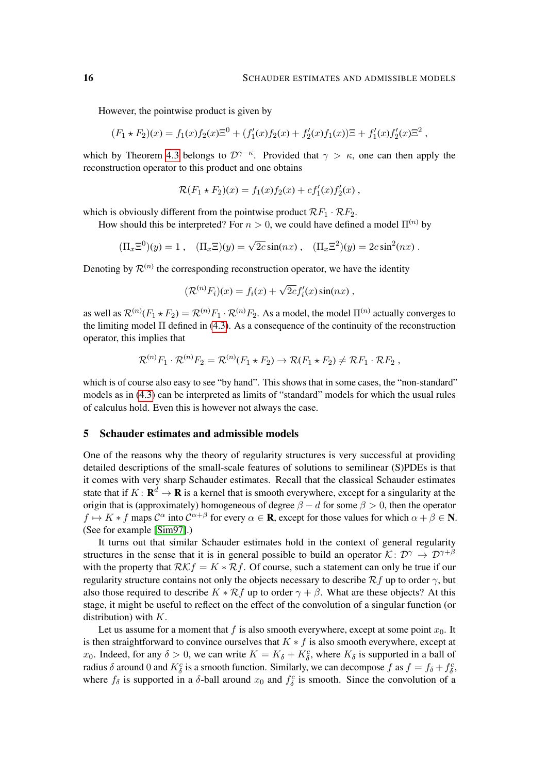However, the pointwise product is given by

$$
(F_1 \star F_2)(x) = f_1(x)f_2(x)\Xi^0 + (f'_1(x)f_2(x) + f'_2(x)f_1(x))\Xi + f'_1(x)f'_2(x)\Xi^2,
$$

which by Theorem [4.3](#page-12-2) belongs to  $\mathcal{D}^{\gamma-\kappa}$ . Provided that  $\gamma > \kappa$ , one can then apply the reconstruction operator to this product and one obtains

$$
\mathcal{R}(F_1 \star F_2)(x) = f_1(x)f_2(x) + cf'_1(x)f'_2(x) ,
$$

which is obviously different from the pointwise product  $\mathcal{R}F_1 \cdot \mathcal{R}F_2$ .

How should this be interpreted? For  $n > 0$ , we could have defined a model  $\Pi^{(n)}$  by

$$
(\Pi_x \Xi^0)(y) = 1
$$
,  $(\Pi_x \Xi)(y) = \sqrt{2c} \sin(nx)$ ,  $(\Pi_x \Xi^2)(y) = 2c \sin^2(nx)$ .

Denoting by  $\mathcal{R}^{(n)}$  the corresponding reconstruction operator, we have the identity

$$
(\mathcal{R}^{(n)}F_i)(x) = f_i(x) + \sqrt{2c}f'_i(x)\sin(nx),
$$

as well as  $\mathcal{R}^{(n)}(F_1 \star F_2) = \mathcal{R}^{(n)}F_1 \cdot \mathcal{R}^{(n)}F_2$ . As a model, the model  $\Pi^{(n)}$  actually converges to the limiting model  $\Pi$  defined in [\(4.3\)](#page-14-0). As a consequence of the continuity of the reconstruction operator, this implies that

$$
\mathcal{R}^{(n)}F_1\cdot \mathcal{R}^{(n)}F_2=\mathcal{R}^{(n)}(F_1\star F_2)\to \mathcal{R}(F_1\star F_2)\neq \mathcal{R}F_1\cdot \mathcal{R}F_2,
$$

which is of course also easy to see "by hand". This shows that in some cases, the "non-standard" models as in [\(4.3\)](#page-14-0) can be interpreted as limits of "standard" models for which the usual rules of calculus hold. Even this is however not always the case.

#### <span id="page-15-0"></span>5 Schauder estimates and admissible models

One of the reasons why the theory of regularity structures is very successful at providing detailed descriptions of the small-scale features of solutions to semilinear (S)PDEs is that it comes with very sharp Schauder estimates. Recall that the classical Schauder estimates state that if  $K: \mathbf{R}^d \to \mathbf{R}$  is a kernel that is smooth everywhere, except for a singularity at the origin that is (approximately) homogeneous of degree  $\beta - d$  for some  $\beta > 0$ , then the operator  $f \mapsto K * f$  maps  $\mathcal{C}^{\alpha}$  into  $\mathcal{C}^{\alpha+\beta}$  for every  $\alpha \in \mathbf{R}$ , except for those values for which  $\alpha + \beta \in \mathbf{N}$ . (See for example [\[Sim97\]](#page-30-17).)

It turns out that similar Schauder estimates hold in the context of general regularity structures in the sense that it is in general possible to build an operator  $\mathcal{K} \colon \mathcal{D}^{\gamma} \to \mathcal{D}^{\gamma+\beta}$ with the property that  $\mathcal{RK}f = K \times \mathcal{R}f$ . Of course, such a statement can only be true if our regularity structure contains not only the objects necessary to describe  $\mathcal{R}f$  up to order  $\gamma$ , but also those required to describe  $K * \mathcal{R}f$  up to order  $\gamma + \beta$ . What are these objects? At this stage, it might be useful to reflect on the effect of the convolution of a singular function (or distribution) with  $K$ .

Let us assume for a moment that f is also smooth everywhere, except at some point  $x_0$ . It is then straightforward to convince ourselves that  $K * f$  is also smooth everywhere, except at x<sub>0</sub>. Indeed, for any  $\delta > 0$ , we can write  $K = K_{\delta} + K_{\delta}^{c}$ , where  $K_{\delta}$  is supported in a ball of radius  $\delta$  around 0 and  $K_{\delta}^{c}$  is a smooth function. Similarly, we can decompose f as  $f = f_{\delta} + f_{\delta}^{c}$ , where  $f_{\delta}$  is supported in a  $\delta$ -ball around  $x_0$  and  $f_{\delta}^c$  is smooth. Since the convolution of a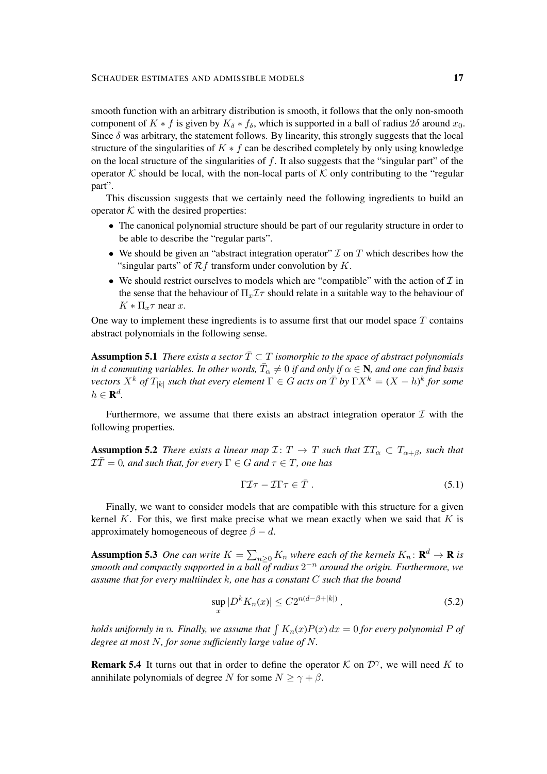smooth function with an arbitrary distribution is smooth, it follows that the only non-smooth component of  $K * f$  is given by  $K_{\delta} * f_{\delta}$ , which is supported in a ball of radius  $2\delta$  around  $x_0$ . Since  $\delta$  was arbitrary, the statement follows. By linearity, this strongly suggests that the local structure of the singularities of  $K * f$  can be described completely by only using knowledge on the local structure of the singularities of  $f$ . It also suggests that the "singular part" of the operator K should be local, with the non-local parts of K only contributing to the "regular" part".

This discussion suggests that we certainly need the following ingredients to build an operator  $K$  with the desired properties:

- The canonical polynomial structure should be part of our regularity structure in order to be able to describe the "regular parts".
- We should be given an "abstract integration operator"  $\mathcal I$  on  $T$  which describes how the "singular parts" of  $\mathcal{R}f$  transform under convolution by  $K$ .
- We should restrict ourselves to models which are "compatible" with the action of  $I$  in the sense that the behaviour of  $\Pi_x \mathcal{I} \tau$  should relate in a suitable way to the behaviour of  $K \ast \Pi_x \tau$  near x.

One way to implement these ingredients is to assume first that our model space  $T$  contains abstract polynomials in the following sense.

<span id="page-16-2"></span>**Assumption 5.1** *There exists a sector*  $\overline{T} \subset T$  *isomorphic to the space of abstract polynomials* in d commuting variables. In other words,  $\bar{T}_{\alpha} \neq 0$  if and only if  $\alpha \in \mathbb{N}$ , and one can find basis  $\chi^k$  *of*  $T_{|k|}$  such that every element  $\Gamma \in G$  acts on  $\bar{T}$  by  $\Gamma X^k = (X - h)^k$  for some  $h \in \mathbf{R}^d$ .

Furthermore, we assume that there exists an abstract integration operator  $\mathcal I$  with the following properties.

<span id="page-16-3"></span>**Assumption 5.2** *There exists a linear map*  $\mathcal{I}: T \to T$  *such that*  $TT_{\alpha} \subset T_{\alpha+\beta}$ *, such that*  $\mathcal{I}\bar{T}=0$ , and such that, for every  $\Gamma\in G$  and  $\tau\in T$ , one has

$$
\Gamma \mathcal{I} \tau - \mathcal{I} \Gamma \tau \in \bar{T} \tag{5.1}
$$

Finally, we want to consider models that are compatible with this structure for a given kernel K. For this, we first make precise what we mean exactly when we said that  $K$  is approximately homogeneous of degree  $\beta - d$ .

<span id="page-16-1"></span>**Assumption 5.3** One can write  $K = \sum_{n\geq 0} K_n$  where each of the kernels  $K_n: \mathbf{R}^d \to \mathbf{R}$  is *smooth and compactly supported in a ball of radius* 2 <sup>−</sup><sup>n</sup> *around the origin. Furthermore, we assume that for every multiindex* k*, one has a constant* C *such that the bound*

<span id="page-16-0"></span>
$$
\sup_{x} |D^k K_n(x)| \le C 2^{n(d - \beta + |k|)}, \tag{5.2}
$$

*holds uniformly in n. Finally, we assume that*  $\int K_n(x)P(x) dx = 0$  *for every polynomial* P *of degree at most* N*, for some sufficiently large value of* N*.*

**Remark 5.4** It turns out that in order to define the operator K on  $\mathcal{D}^{\gamma}$ , we will need K to annihilate polynomials of degree N for some  $N \ge \gamma + \beta$ .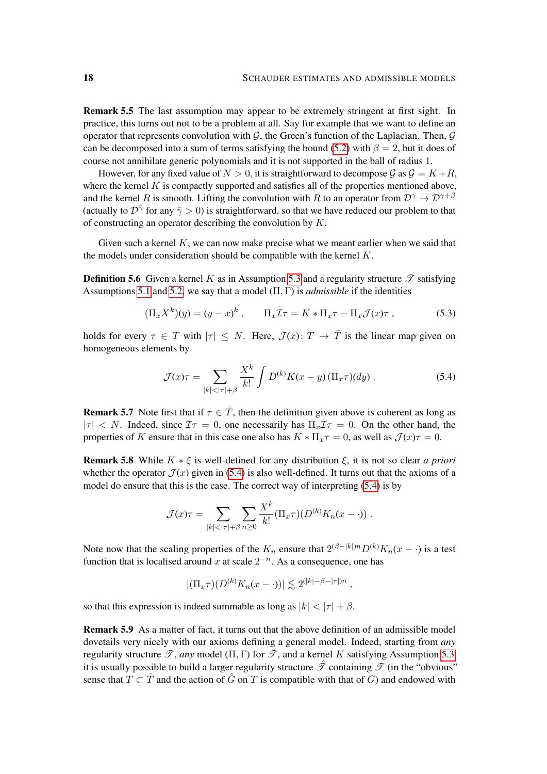Remark 5.5 The last assumption may appear to be extremely stringent at first sight. In practice, this turns out not to be a problem at all. Say for example that we want to define an operator that represents convolution with  $G$ , the Green's function of the Laplacian. Then,  $G$ can be decomposed into a sum of terms satisfying the bound [\(5.2\)](#page-16-0) with  $\beta = 2$ , but it does of course not annihilate generic polynomials and it is not supported in the ball of radius 1.

However, for any fixed value of  $N > 0$ , it is straightforward to decompose  $\mathcal{G}$  as  $\mathcal{G} = K + R$ , where the kernel  $K$  is compactly supported and satisfies all of the properties mentioned above, and the kernel R is smooth. Lifting the convolution with R to an operator from  $\mathcal{D}^{\gamma} \to \mathcal{D}^{\gamma+\beta}$ (actually to  $\mathcal{D}^{\bar{\gamma}}$  for any  $\bar{\gamma} > 0$ ) is straightforward, so that we have reduced our problem to that of constructing an operator describing the convolution by  $K$ .

Given such a kernel  $K$ , we can now make precise what we meant earlier when we said that the models under consideration should be compatible with the kernel  $K$ .

**Definition 5.6** Given a kernel K as in Assumption [5.3](#page-16-1) and a regularity structure  $\mathscr{T}$  satisfying Assumptions [5.1](#page-16-2) and [5.2,](#page-16-3) we say that a model  $(\Pi, \Gamma)$  is *admissible* if the identities

$$
(\Pi_x X^k)(y) = (y - x)^k, \qquad \Pi_x \mathcal{I} \tau = K \ast \Pi_x \tau - \Pi_x \mathcal{J}(x) \tau, \qquad (5.3)
$$

holds for every  $\tau \in T$  with  $|\tau| \leq N$ . Here,  $\mathcal{J}(x) \colon T \to \overline{T}$  is the linear map given on homogeneous elements by

<span id="page-17-2"></span><span id="page-17-0"></span>
$$
\mathcal{J}(x)\tau = \sum_{|k| < |\tau| + \beta} \frac{X^k}{k!} \int D^{(k)}K(x - y) \left(\Pi_x \tau\right) (dy) \,. \tag{5.4}
$$

**Remark 5.7** Note first that if  $\tau \in \overline{T}$ , then the definition given above is coherent as long as  $|\tau| < N$ . Indeed, since  $\mathcal{I}\tau = 0$ , one necessarily has  $\Pi_x \mathcal{I}\tau = 0$ . On the other hand, the properties of K ensure that in this case one also has  $K \ast \Pi_x \tau = 0$ , as well as  $\mathcal{J}(x)\tau = 0$ .

<span id="page-17-1"></span>**Remark 5.8** While  $K * \xi$  is well-defined for any distribution  $\xi$ , it is not so clear *a priori* whether the operator  $\mathcal{J}(x)$  given in [\(5.4\)](#page-17-0) is also well-defined. It turns out that the axioms of a model do ensure that this is the case. The correct way of interpreting [\(5.4\)](#page-17-0) is by

$$
\mathcal{J}(x)\tau = \sum_{|k|<|\tau|+\beta} \sum_{n\geq 0} \frac{X^k}{k!} (\Pi_x \tau)(D^{(k)} K_n(x - \cdot)) .
$$

Note now that the scaling properties of the  $K_n$  ensure that  $2^{(\beta-|k|)n}D^{(k)}K_n(x - \cdot)$  is a test function that is localised around x at scale  $2^{-n}$ . As a consequence, one has

$$
|(\Pi_x \tau)(D^{(k)} K_n(x - \cdot))| \lesssim 2^{(|k| - \beta - |\tau|)n},
$$

so that this expression is indeed summable as long as  $|k| < |\tau| + \beta$ .

Remark 5.9 As a matter of fact, it turns out that the above definition of an admissible model dovetails very nicely with our axioms defining a general model. Indeed, starting from *any* regularity structure  $\mathscr{T}$ , *any* model ( $\Pi$ ,  $\Gamma$ ) for  $\mathscr{T}$ , and a kernel K satisfying Assumption [5.3,](#page-16-1) it is usually possible to build a larger regularity structure  $\hat{\mathcal{I}}$  containing  $\mathcal{I}$  (in the "obvious" sense that  $T \subset \hat{T}$  and the action of  $\hat{G}$  on T is compatible with that of G) and endowed with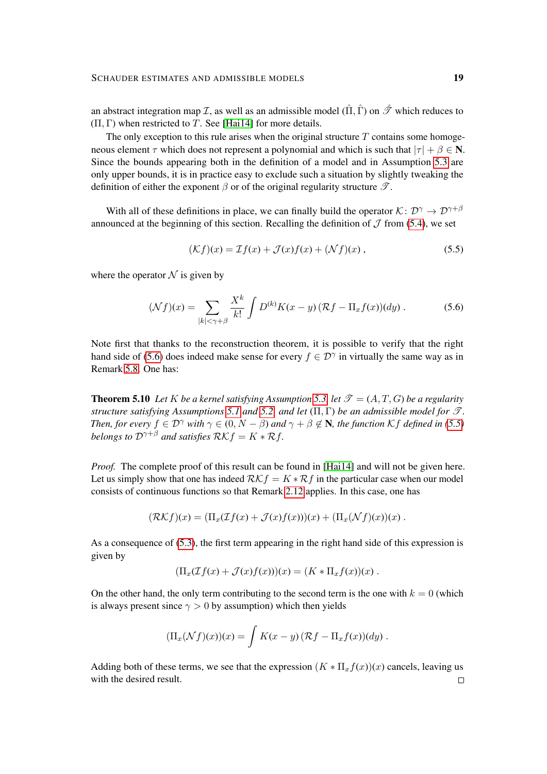an abstract integration map *I*, as well as an admissible model  $(\hat{\Pi}, \hat{\Gamma})$  on  $\hat{\mathcal{F}}$  which reduces to  $(\Pi, \Gamma)$  when restricted to T. See [\[Hai14\]](#page-30-0) for more details.

The only exception to this rule arises when the original structure  $T$  contains some homogeneous element  $\tau$  which does not represent a polynomial and which is such that  $|\tau| + \beta \in \mathbb{N}$ . Since the bounds appearing both in the definition of a model and in Assumption [5.3](#page-16-1) are only upper bounds, it is in practice easy to exclude such a situation by slightly tweaking the definition of either the exponent  $\beta$  or of the original regularity structure  $\mathscr{T}$ .

With all of these definitions in place, we can finally build the operator  $\mathcal{K}: \mathcal{D}^{\gamma} \to \mathcal{D}^{\gamma+\beta}$ announced at the beginning of this section. Recalling the definition of  $\mathcal J$  from [\(5.4\)](#page-17-0), we set

<span id="page-18-1"></span><span id="page-18-0"></span>
$$
(\mathcal{K}f)(x) = \mathcal{I}f(x) + \mathcal{J}(x)f(x) + (\mathcal{N}f)(x) , \qquad (5.5)
$$

where the operator  $N$  is given by

$$
(\mathcal{N}f)(x) = \sum_{|k| < \gamma + \beta} \frac{X^k}{k!} \int D^{(k)}K(x - y) \left( \mathcal{R}f - \Pi_x f(x) \right) (dy) \,. \tag{5.6}
$$

Note first that thanks to the reconstruction theorem, it is possible to verify that the right hand side of [\(5.6\)](#page-18-0) does indeed make sense for every  $f \in \mathcal{D}^{\gamma}$  in virtually the same way as in Remark [5.8.](#page-17-1) One has:

**Theorem 5.10** Let K be a kernel satisfying Assumption [5.3,](#page-16-1) let  $\mathcal{T} = (A, T, G)$  be a regularity *structure satisfying Assumptions* [5.1](#page-16-2) *and* [5.2,](#page-16-3) *and let*  $(\Pi, \Gamma)$  *be an admissible model for*  $\mathcal{T}$ *. Then, for every*  $f \in \mathcal{D}^{\gamma}$  *with*  $\gamma \in (0, N - \beta)$  *and*  $\gamma + \beta \notin \mathbb{N}$ *, the function* K *f defined in* [\(5.5\)](#page-18-1) *belongs to*  $\mathcal{D}^{\gamma+\beta}$  *and satisfies*  $\mathcal{RK}f = K \times \mathcal{R}f$ .

*Proof.* The complete proof of this result can be found in [\[Hai14\]](#page-30-0) and will not be given here. Let us simply show that one has indeed  $\mathcal{RK}f = K \times \mathcal{R}f$  in the particular case when our model consists of continuous functions so that Remark [2.12](#page-8-1) applies. In this case, one has

$$
(\mathcal{RK}f)(x) = (\Pi_x(\mathcal{I}f(x) + \mathcal{J}(x)f(x))(x) + (\Pi_x(\mathcal{N}f)(x))(x).
$$

As a consequence of [\(5.3\)](#page-17-2), the first term appearing in the right hand side of this expression is given by

$$
(\Pi_x(\mathcal{I}f(x) + \mathcal{J}(x)f(x)))(x) = (K \ast \Pi_x f(x))(x).
$$

On the other hand, the only term contributing to the second term is the one with  $k = 0$  (which is always present since  $\gamma > 0$  by assumption) which then yields

$$
(\Pi_x(\mathcal{N}f)(x))(x) = \int K(x-y) \left( \mathcal{R}f - \Pi_x f(x) \right)(dy) .
$$

Adding both of these terms, we see that the expression  $(K \ast \Pi_x f(x))(x)$  cancels, leaving us with the desired result. $\Box$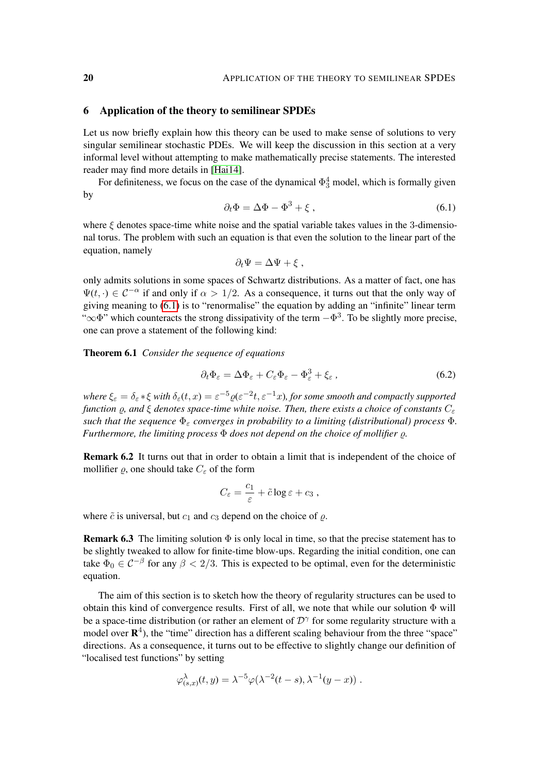#### <span id="page-19-0"></span>6 Application of the theory to semilinear SPDEs

Let us now briefly explain how this theory can be used to make sense of solutions to very singular semilinear stochastic PDEs. We will keep the discussion in this section at a very informal level without attempting to make mathematically precise statements. The interested reader may find more details in [\[Hai14\]](#page-30-0).

For definiteness, we focus on the case of the dynamical  $\Phi_3^4$  model, which is formally given by

$$
\partial_t \Phi = \Delta \Phi - \Phi^3 + \xi \,, \tag{6.1}
$$

where  $\xi$  denotes space-time white noise and the spatial variable takes values in the 3-dimensional torus. The problem with such an equation is that even the solution to the linear part of the equation, namely

<span id="page-19-2"></span><span id="page-19-1"></span>
$$
\partial_t \Psi = \Delta \Psi + \xi \ ,
$$

only admits solutions in some spaces of Schwartz distributions. As a matter of fact, one has  $\Psi(t, \cdot) \in C^{-\alpha}$  if and only if  $\alpha > 1/2$ . As a consequence, it turns out that the only way of giving meaning to [\(6.1\)](#page-19-1) is to "renormalise" the equation by adding an "infinite" linear term " $\infty$  $\Phi$ " which counteracts the strong dissipativity of the term  $-\Phi^3$ . To be slightly more precise, one can prove a statement of the following kind:

<span id="page-19-3"></span>Theorem 6.1 *Consider the sequence of equations*

$$
\partial_t \Phi_{\varepsilon} = \Delta \Phi_{\varepsilon} + C_{\varepsilon} \Phi_{\varepsilon} - \Phi_{\varepsilon}^3 + \xi_{\varepsilon} \,, \tag{6.2}
$$

where  $\xi_{\varepsilon} = \delta_{\varepsilon} * \xi$  with  $\delta_{\varepsilon}(t,x) = \varepsilon^{-5} \varrho(\varepsilon^{-2}t,\varepsilon^{-1}x)$ , for some smooth and compactly supported *function*  $\rho$ , and  $\xi$  *denotes space-time white noise. Then, there exists a choice of constants*  $C_{\varepsilon}$ *such that the sequence*  $\Phi_{\varepsilon}$  *converges in probability to a limiting (distributional) process*  $\Phi$ *. Furthermore, the limiting process* Φ *does not depend on the choice of mollifier ρ.* 

Remark 6.2 It turns out that in order to obtain a limit that is independent of the choice of mollifier  $\rho$ , one should take  $C_{\varepsilon}$  of the form

$$
C_{\varepsilon} = \frac{c_1}{\varepsilon} + \tilde{c} \log \varepsilon + c_3 ,
$$

where  $\tilde{c}$  is universal, but  $c_1$  and  $c_3$  depend on the choice of  $\rho$ .

**Remark 6.3** The limiting solution  $\Phi$  is only local in time, so that the precise statement has to be slightly tweaked to allow for finite-time blow-ups. Regarding the initial condition, one can take  $\Phi_0 \in C^{-\beta}$  for any  $\beta < 2/3$ . This is expected to be optimal, even for the deterministic equation.

The aim of this section is to sketch how the theory of regularity structures can be used to obtain this kind of convergence results. First of all, we note that while our solution  $\Phi$  will be a space-time distribution (or rather an element of  $\mathcal{D}^{\gamma}$  for some regularity structure with a model over  $\mathbb{R}^4$ ), the "time" direction has a different scaling behaviour from the three "space" directions. As a consequence, it turns out to be effective to slightly change our definition of "localised test functions" by setting

$$
\varphi_{(s,x)}^{\lambda}(t,y) = \lambda^{-5} \varphi(\lambda^{-2}(t-s), \lambda^{-1}(y-x)) .
$$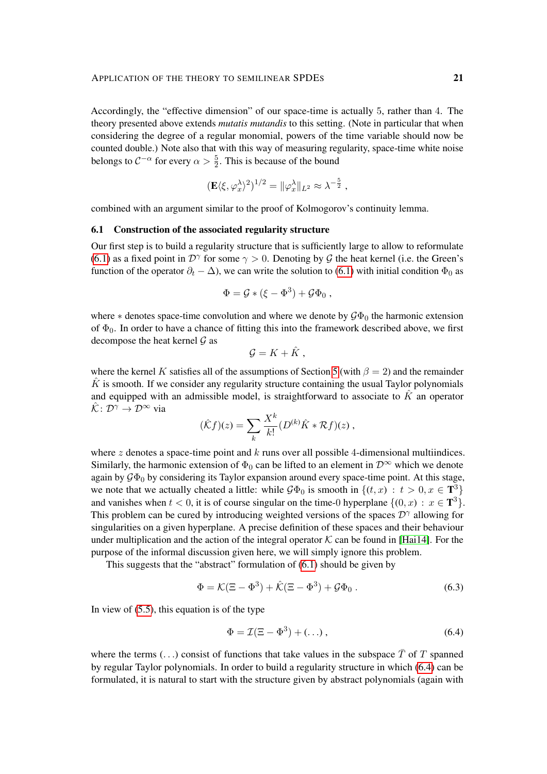Accordingly, the "effective dimension" of our space-time is actually 5, rather than 4. The theory presented above extends *mutatis mutandis* to this setting. (Note in particular that when considering the degree of a regular monomial, powers of the time variable should now be counted double.) Note also that with this way of measuring regularity, space-time white noise belongs to  $C^{-\alpha}$  for every  $\alpha > \frac{5}{2}$ . This is because of the bound

$$
(\mathbf{E}\langle \xi, \varphi_x^{\lambda}\rangle^2)^{1/2} = \|\varphi_x^{\lambda}\|_{L^2} \approx \lambda^{-\frac{5}{2}},
$$

combined with an argument similar to the proof of Kolmogorov's continuity lemma.

## 6.1 Construction of the associated regularity structure

Our first step is to build a regularity structure that is sufficiently large to allow to reformulate [\(6.1\)](#page-19-1) as a fixed point in  $\mathcal{D}^{\gamma}$  for some  $\gamma > 0$ . Denoting by  $\mathcal G$  the heat kernel (i.e. the Green's function of the operator  $\partial_t - \Delta$ ), we can write the solution to [\(6.1\)](#page-19-1) with initial condition  $\Phi_0$  as

$$
\Phi = \mathcal{G} * (\xi - \Phi^3) + \mathcal{G}\Phi_0 ,
$$

where  $*$  denotes space-time convolution and where we denote by  $\mathcal{G}\Phi_0$  the harmonic extension of  $\Phi_0$ . In order to have a chance of fitting this into the framework described above, we first decompose the heat kernel  $\mathcal G$  as

$$
\mathcal{G}=K+\hat{K},
$$

where the kernel K satisfies all of the assumptions of Section [5](#page-15-0) (with  $\beta = 2$ ) and the remainder  $K$  is smooth. If we consider any regularity structure containing the usual Taylor polynomials and equipped with an admissible model, is straightforward to associate to  $\hat{K}$  an operator  $\hat{K}: \mathcal{D}^{\gamma} \to \mathcal{D}^{\infty}$  via

$$
(\hat{K}f)(z) = \sum_{k} \frac{X^{k}}{k!} (D^{(k)}\hat{K} * \mathcal{R}f)(z),
$$

where z denotes a space-time point and k runs over all possible 4-dimensional multiindices. Similarly, the harmonic extension of  $\Phi_0$  can be lifted to an element in  $\mathcal{D}^{\infty}$  which we denote again by  $\mathcal{G}\Phi_0$  by considering its Taylor expansion around every space-time point. At this stage, we note that we actually cheated a little: while  $\mathcal{G}\Phi_0$  is smooth in  $\{(t,x) : t > 0, x \in \mathbf{T}^3\}$ and vanishes when  $t < 0$ , it is of course singular on the time-0 hyperplane  $\{(0, x) : x \in \mathbf{T}^3\}$ . This problem can be cured by introducing weighted versions of the spaces  $\mathcal{D}^{\gamma}$  allowing for singularities on a given hyperplane. A precise definition of these spaces and their behaviour under multiplication and the action of the integral operator  $K$  can be found in [\[Hai14\]](#page-30-0). For the purpose of the informal discussion given here, we will simply ignore this problem.

This suggests that the "abstract" formulation of [\(6.1\)](#page-19-1) should be given by

$$
\Phi = \mathcal{K}(\Xi - \Phi^3) + \hat{\mathcal{K}}(\Xi - \Phi^3) + \mathcal{G}\Phi_0.
$$
\n(6.3)

In view of  $(5.5)$ , this equation is of the type

<span id="page-20-1"></span><span id="page-20-0"></span>
$$
\Phi = \mathcal{I}(\Xi - \Phi^3) + (\dots),\tag{6.4}
$$

where the terms (...) consist of functions that take values in the subspace  $\overline{T}$  of T spanned by regular Taylor polynomials. In order to build a regularity structure in which [\(6.4\)](#page-20-0) can be formulated, it is natural to start with the structure given by abstract polynomials (again with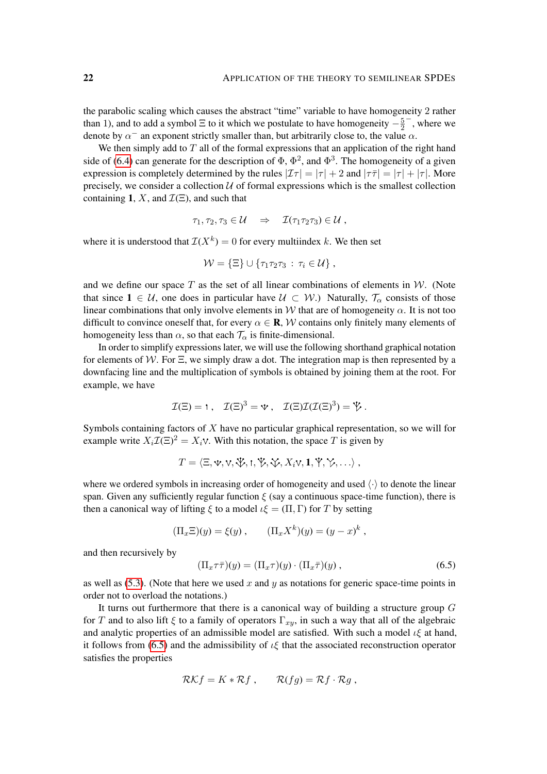the parabolic scaling which causes the abstract "time" variable to have homogeneity 2 rather than 1), and to add a symbol  $\Xi$  to it which we postulate to have homogeneity  $-\frac{5}{2}$ 2 − , where we denote by  $\alpha^-$  an exponent strictly smaller than, but arbitrarily close to, the value  $\alpha$ .

We then simply add to  $T$  all of the formal expressions that an application of the right hand side of [\(6.4\)](#page-20-0) can generate for the description of  $\Phi$ ,  $\Phi^2$ , and  $\Phi^3$ . The homogeneity of a given expression is completely determined by the rules  $|\mathcal{I}\tau| = |\tau| + 2$  and  $|\tau\bar{\tau}| = |\tau| + |\tau|$ . More precisely, we consider a collection  $U$  of formal expressions which is the smallest collection containing 1, X, and  $\mathcal{I}(\Xi)$ , and such that

$$
\tau_1, \tau_2, \tau_3 \in \mathcal{U} \quad \Rightarrow \quad \mathcal{I}(\tau_1 \tau_2 \tau_3) \in \mathcal{U},
$$

where it is understood that  $\mathcal{I}(X^k) = 0$  for every multiindex k. We then set

$$
\mathcal{W} = \{\Xi\} \cup \{\tau_1 \tau_2 \tau_3 \,:\, \tau_i \in \mathcal{U}\},
$$

and we define our space  $T$  as the set of all linear combinations of elements in  $W$ . (Note that since  $1 \in \mathcal{U}$ , one does in particular have  $\mathcal{U} \subset \mathcal{W}$ .) Naturally,  $\mathcal{T}_{\alpha}$  consists of those linear combinations that only involve elements in W that are of homogeneity  $\alpha$ . It is not too difficult to convince oneself that, for every  $\alpha \in \mathbf{R}$ , W contains only finitely many elements of homogeneity less than  $\alpha$ , so that each  $\mathcal{T}_{\alpha}$  is finite-dimensional.

In order to simplify expressions later, we will use the following shorthand graphical notation for elements of W. For  $\Xi$ , we simply draw a dot. The integration map is then represented by a downfacing line and the multiplication of symbols is obtained by joining them at the root. For example, we have

$$
\mathcal{I}(\Xi) = 1, \quad \mathcal{I}(\Xi)^3 = \mathbf{v}, \quad \mathcal{I}(\Xi)\mathcal{I}(\mathcal{I}(\Xi)^3) = \mathbf{V}.
$$

Symbols containing factors of  $X$  have no particular graphical representation, so we will for example write  $X_i \mathcal{I}(\Xi)^2 = X_i \vee$ . With this notation, the space T is given by

$$
T = \langle \Xi, \Psi, \mathbf{V}, \mathbf{W}, \mathbf{W}, \mathbf{W}, \mathbf{W}, \mathbf{W}, \mathbf{W}, \mathbf{W}, \mathbf{W}, \mathbf{W}, \ldots \rangle
$$

where we ordered symbols in increasing order of homogeneity and used  $\langle \cdot \rangle$  to denote the linear span. Given any sufficiently regular function  $\xi$  (say a continuous space-time function), there is then a canonical way of lifting  $\xi$  to a model  $\iota \xi = (\Pi, \Gamma)$  for T by setting

 $(\Pi_x \Xi)(y) = \xi(y)$ ,  $(\Pi_x X^k)(y) = (y - x)^k$ ,

and then recursively by

<span id="page-21-0"></span>
$$
(\Pi_x \tau \overline{\tau})(y) = (\Pi_x \tau)(y) \cdot (\Pi_x \overline{\tau})(y) , \qquad (6.5)
$$

as well as  $(5.3)$ . (Note that here we used x and y as notations for generic space-time points in order not to overload the notations.)

It turns out furthermore that there is a canonical way of building a structure group  $G$ for T and to also lift  $\xi$  to a family of operators  $\Gamma_{xy}$ , in such a way that all of the algebraic and analytic properties of an admissible model are satisfied. With such a model  $\iota\xi$  at hand, it follows from [\(6.5\)](#page-21-0) and the admissibility of  $\iota \xi$  that the associated reconstruction operator satisfies the properties

$$
\mathcal{RK}f = K \ast \mathcal{R}f , \qquad \mathcal{R}(fg) = \mathcal{R}f \cdot \mathcal{R}g ,
$$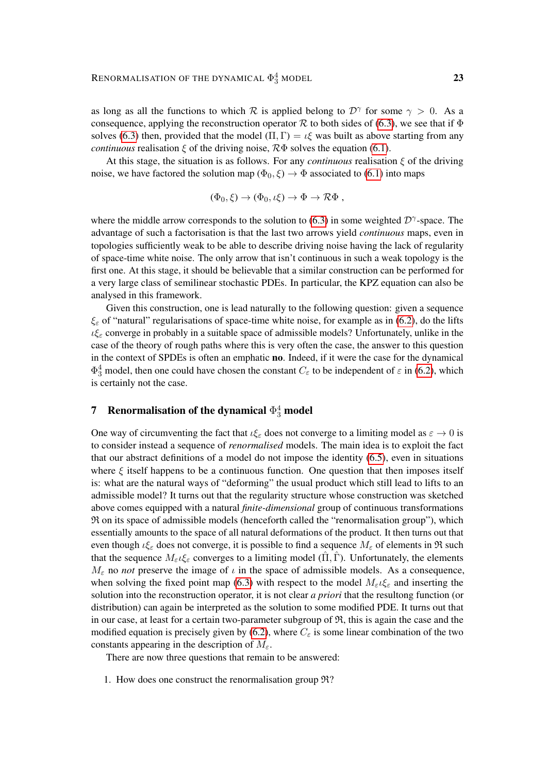as long as all the functions to which R is applied belong to  $\mathcal{D}^{\gamma}$  for some  $\gamma > 0$ . As a consequence, applying the reconstruction operator R to both sides of [\(6.3\)](#page-20-1), we see that if  $\Phi$ solves [\(6.3\)](#page-20-1) then, provided that the model  $(\Pi, \Gamma) = \iota \xi$  was built as above starting from any *continuous* realisation  $\xi$  of the driving noise,  $R\Phi$  solves the equation [\(6.1\)](#page-19-1).

At this stage, the situation is as follows. For any *continuous* realisation  $\xi$  of the driving noise, we have factored the solution map ( $\Phi_0, \xi$ )  $\rightarrow \Phi$  associated to [\(6.1\)](#page-19-1) into maps

$$
(\Phi_0,\xi)\to (\Phi_0,\iota\xi)\to \Phi\to \mathcal{R}\Phi,
$$

where the middle arrow corresponds to the solution to [\(6.3\)](#page-20-1) in some weighted  $\mathcal{D}^{\gamma}$ -space. The advantage of such a factorisation is that the last two arrows yield *continuous* maps, even in topologies sufficiently weak to be able to describe driving noise having the lack of regularity of space-time white noise. The only arrow that isn't continuous in such a weak topology is the first one. At this stage, it should be believable that a similar construction can be performed for a very large class of semilinear stochastic PDEs. In particular, the KPZ equation can also be analysed in this framework.

Given this construction, one is lead naturally to the following question: given a sequence  $\xi_{\varepsilon}$  of "natural" regularisations of space-time white noise, for example as in [\(6.2\)](#page-19-2), do the lifts  $i\xi_{\varepsilon}$  converge in probably in a suitable space of admissible models? Unfortunately, unlike in the case of the theory of rough paths where this is very often the case, the answer to this question in the context of SPDEs is often an emphatic **no**. Indeed, if it were the case for the dynamical  $\Phi_3^4$  model, then one could have chosen the constant  $C_{\varepsilon}$  to be independent of  $\varepsilon$  in [\(6.2\)](#page-19-2), which is certainly not the case.

# <span id="page-22-0"></span>**7** Renormalisation of the dynamical  $\Phi^4_3$  model

One way of circumventing the fact that  $\iota \xi_{\varepsilon}$  does not converge to a limiting model as  $\varepsilon \to 0$  is to consider instead a sequence of *renormalised* models. The main idea is to exploit the fact that our abstract definitions of a model do not impose the identity [\(6.5\)](#page-21-0), even in situations where  $\xi$  itself happens to be a continuous function. One question that then imposes itself is: what are the natural ways of "deforming" the usual product which still lead to lifts to an admissible model? It turns out that the regularity structure whose construction was sketched above comes equipped with a natural *finite-dimensional* group of continuous transformations R on its space of admissible models (henceforth called the "renormalisation group"), which essentially amounts to the space of all natural deformations of the product. It then turns out that even though  $\iota \xi_{\varepsilon}$  does not converge, it is possible to find a sequence  $M_{\varepsilon}$  of elements in  $\Re$  such that the sequence  $M_{\varepsilon}\iota\xi_{\varepsilon}$  converges to a limiting model ( $\Pi$ ,  $\Gamma$ ). Unfortunately, the elements  $M_{\varepsilon}$  no *not* preserve the image of  $\iota$  in the space of admissible models. As a consequence, when solving the fixed point map [\(6.3\)](#page-20-1) with respect to the model  $M_{\varepsilon} \iota \xi_{\varepsilon}$  and inserting the solution into the reconstruction operator, it is not clear *a priori* that the resultong function (or distribution) can again be interpreted as the solution to some modified PDE. It turns out that in our case, at least for a certain two-parameter subgroup of  $\mathfrak{R}$ , this is again the case and the modified equation is precisely given by [\(6.2\)](#page-19-2), where  $C_{\varepsilon}$  is some linear combination of the two constants appearing in the description of  $M_{\varepsilon}$ .

There are now three questions that remain to be answered:

1. How does one construct the renormalisation group R?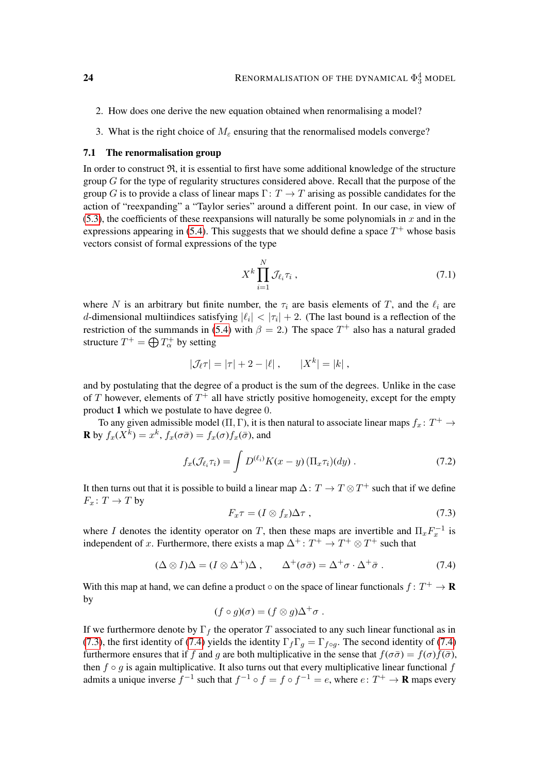- 2. How does one derive the new equation obtained when renormalising a model?
- 3. What is the right choice of  $M_\varepsilon$  ensuring that the renormalised models converge?

## 7.1 The renormalisation group

In order to construct  $\mathfrak{R}$ , it is essential to first have some additional knowledge of the structure group  $G$  for the type of regularity structures considered above. Recall that the purpose of the group G is to provide a class of linear maps  $\Gamma: T \to T$  arising as possible candidates for the action of "reexpanding" a "Taylor series" around a different point. In our case, in view of  $(5.3)$ , the coefficients of these reexpansions will naturally be some polynomials in x and in the expressions appearing in [\(5.4\)](#page-17-0). This suggests that we should define a space  $T^+$  whose basis vectors consist of formal expressions of the type

<span id="page-23-2"></span>
$$
X^k \prod_{i=1}^N \mathcal{J}_{\ell_i} \tau_i \,, \tag{7.1}
$$

where N is an arbitrary but finite number, the  $\tau_i$  are basis elements of T, and the  $\ell_i$  are d-dimensional multiindices satisfying  $|\ell_i| < |\tau_i| + 2$ . (The last bound is a reflection of the restriction of the summands in [\(5.4\)](#page-17-0) with  $\beta = 2$ .) The space  $T^+$  also has a natural graded structure  $T^+ = \bigoplus T_\alpha^+$  by setting

$$
|\mathcal{J}_{\ell}\tau| = |\tau| + 2 - |\ell|, \qquad |X^k| = |k|,
$$

and by postulating that the degree of a product is the sum of the degrees. Unlike in the case of T however, elements of  $T^+$  all have strictly positive homogeneity, except for the empty product 1 which we postulate to have degree 0.

To any given admissible model ( $\Pi$ ,  $\Gamma$ ), it is then natural to associate linear maps  $f_x \colon T^+ \to$ **R** by  $f_x(X^k) = x^k$ ,  $f_x(\sigma \bar{\sigma}) = f_x(\sigma) f_x(\bar{\sigma})$ , and

$$
f_x(\mathcal{J}_{\ell_i}\tau_i) = \int D^{(\ell_i)}K(x-y)\left(\Pi_x\tau_i\right)(dy) \,. \tag{7.2}
$$

It then turns out that it is possible to build a linear map  $\Delta: T \to T \otimes T^+$  such that if we define  $F_x\colon T\to T$  by

<span id="page-23-3"></span><span id="page-23-1"></span><span id="page-23-0"></span>
$$
F_x \tau = (I \otimes f_x) \Delta \tau , \qquad (7.3)
$$

where I denotes the identity operator on T, then these maps are invertible and  $\Pi_x F_x^{-1}$  is independent of x. Furthermore, there exists a map  $\Delta^+$ :  $T^+ \to T^+ \otimes T^+$  such that

$$
(\Delta \otimes I)\Delta = (I \otimes \Delta^+) \Delta \,, \qquad \Delta^+ (\sigma \bar{\sigma}) = \Delta^+ \sigma \cdot \Delta^+ \bar{\sigma} \,. \tag{7.4}
$$

With this map at hand, we can define a product  $\circ$  on the space of linear functionals  $f: T^+ \to \mathbf{R}$ by

$$
(f \circ g)(\sigma) = (f \otimes g)\Delta^+\sigma.
$$

If we furthermore denote by  $\Gamma_f$  the operator T associated to any such linear functional as in [\(7.3\)](#page-23-0), the first identity of [\(7.4\)](#page-23-1) yields the identity  $\Gamma_f \Gamma_g = \Gamma_{f \circ q}$ . The second identity of (7.4) furthermore ensures that if f and g are both multiplicative in the sense that  $f(\sigma\bar{\sigma}) = f(\sigma)f(\bar{\sigma})$ , then  $f \circ g$  is again multiplicative. It also turns out that every multiplicative linear functional  $f$ admits a unique inverse  $f^{-1}$  such that  $f^{-1} \circ f = f \circ f^{-1} = e$ , where  $e \colon T^+ \to \mathbf{R}$  maps every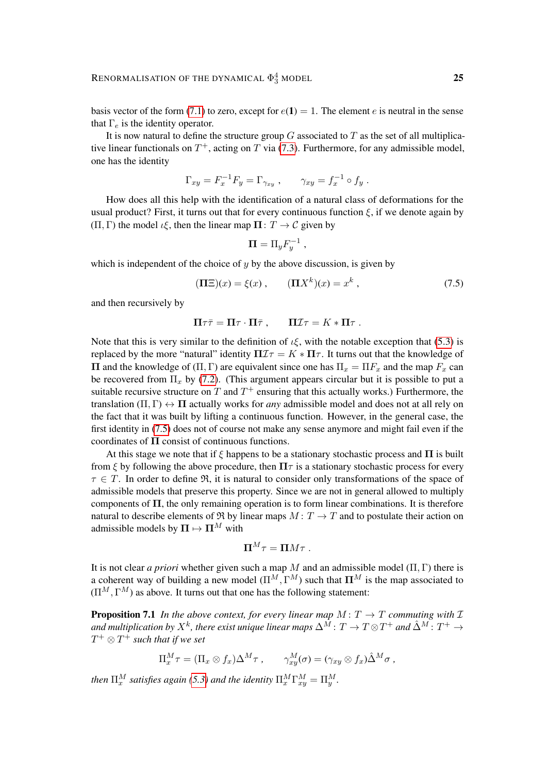basis vector of the form [\(7.1\)](#page-23-2) to zero, except for  $e(1) = 1$ . The element e is neutral in the sense that  $\Gamma_e$  is the identity operator.

It is now natural to define the structure group  $G$  associated to  $T$  as the set of all multiplicative linear functionals on  $T^+$ , acting on T via [\(7.3\)](#page-23-0). Furthermore, for any admissible model, one has the identity

$$
\Gamma_{xy} = F_x^{-1} F_y = \Gamma_{\gamma_{xy}} , \qquad \gamma_{xy} = f_x^{-1} \circ f_y .
$$

How does all this help with the identification of a natural class of deformations for the usual product? First, it turns out that for every continuous function  $\xi$ , if we denote again by  $(\Pi, \Gamma)$  the model  $\iota \xi$ , then the linear map  $\Pi: T \to \mathcal{C}$  given by

<span id="page-24-0"></span>
$$
\mathbf{\Pi} = \Pi_y F_y^{-1} ,
$$

which is independent of the choice of  $y$  by the above discussion, is given by

$$
(\mathbf{\Pi}\Xi)(x) = \xi(x) , \qquad (\mathbf{\Pi}X^k)(x) = x^k , \qquad (7.5)
$$

and then recursively by

$$
\Pi \tau \bar{\tau} = \Pi \tau \cdot \Pi \bar{\tau} , \qquad \Pi \mathcal{I} \tau = K \ast \Pi \tau .
$$

Note that this is very similar to the definition of  $\iota \xi$ , with the notable exception that [\(5.3\)](#page-17-2) is replaced by the more "natural" identity  $\Pi \mathcal{I} \tau = K \ast \Pi \tau$ . It turns out that the knowledge of  $\Pi$  and the knowledge of (Π, Γ) are equivalent since one has  $\Pi_x = \Pi F_x$  and the map  $F_x$  can be recovered from  $\Pi_x$  by [\(7.2\)](#page-23-3). (This argument appears circular but it is possible to put a suitable recursive structure on T and  $T^+$  ensuring that this actually works.) Furthermore, the translation  $(\Pi, \Gamma) \leftrightarrow \Pi$  actually works for *any* admissible model and does not at all rely on the fact that it was built by lifting a continuous function. However, in the general case, the first identity in [\(7.5\)](#page-24-0) does not of course not make any sense anymore and might fail even if the coordinates of  $\Pi$  consist of continuous functions.

At this stage we note that if  $\xi$  happens to be a stationary stochastic process and  $\Pi$  is built from ξ by following the above procedure, then  $\Pi\tau$  is a stationary stochastic process for every  $\tau \in T$ . In order to define  $\Re$ , it is natural to consider only transformations of the space of admissible models that preserve this property. Since we are not in general allowed to multiply components of  $\Pi$ , the only remaining operation is to form linear combinations. It is therefore natural to describe elements of  $\Re$  by linear maps  $M: T \to T$  and to postulate their action on admissible models by  $\Pi \mapsto \Pi^M$  with

$$
\Pi^M \tau = \Pi M \tau .
$$

It is not clear *a priori* whether given such a map M and an admissible model  $(\Pi, \Gamma)$  there is a coherent way of building a new model  $(\Pi^M, \Gamma^M)$  such that  $\Pi^M$  is the map associated to  $(\Pi^M, \Gamma^M)$  as above. It turns out that one has the following statement:

<span id="page-24-1"></span>**Proposition 7.1** *In the above context, for every linear map*  $M: T \rightarrow T$  *commuting with*  $\mathcal{I}$ and multiplication by  $X^k$ , there exist unique linear maps  $\Delta^{\bar{M}}\colon T\to T\otimes T^+$  and  $\hat{\Delta}^{\bar{M}}\colon T^+\to T$  $T^+\otimes T^+$  such that if we set

$$
\Pi_x^M \tau = (\Pi_x \otimes f_x) \Delta^M \tau , \qquad \gamma_{xy}^M(\sigma) = (\gamma_{xy} \otimes f_x) \hat{\Delta}^M \sigma ,
$$

*then*  $\Pi_x^M$  satisfies again [\(5.3\)](#page-17-2) and the identity  $\Pi_x^M \Gamma_{xy}^M = \Pi_y^M$ .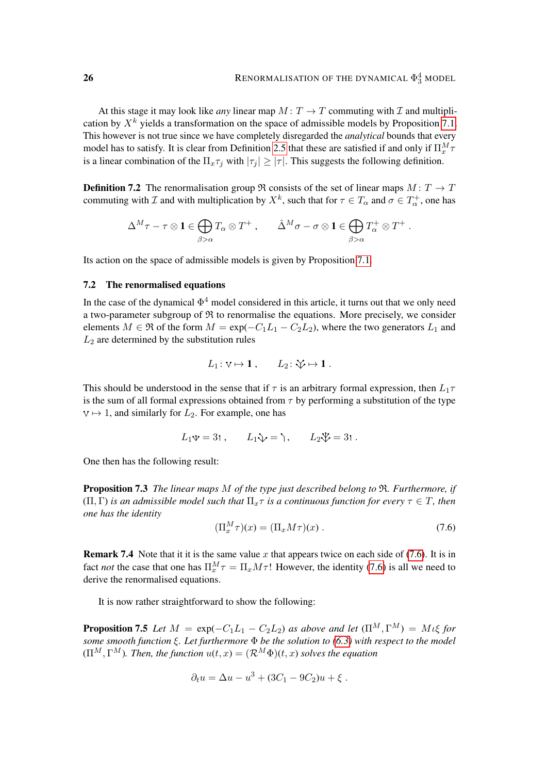At this stage it may look like *any* linear map  $M: T \to T$  commuting with  $\mathcal I$  and multiplication by  $X^k$  yields a transformation on the space of admissible models by Proposition [7.1.](#page-24-1) This however is not true since we have completely disregarded the *analytical* bounds that every model has to satisfy. It is clear from Definition [2.5](#page-4-1) that these are satisfied if and only if  $\Pi_x^M \tau$ is a linear combination of the  $\Pi_x \tau_i$  with  $|\tau_i| \geq |\tau|$ . This suggests the following definition.

**Definition 7.2** The renormalisation group  $\Re$  consists of the set of linear maps  $M: T \to T$ commuting with  $\mathcal I$  and with multiplication by  $X^k$ , such that for  $\tau \in T_\alpha$  and  $\sigma \in T_\alpha^+$ , one has

$$
\Delta^M\tau-\tau\otimes{\bf 1}\in\bigoplus_{\beta>\alpha}T_\alpha\otimes T^+\;,\qquad \hat\Delta^M\sigma-\sigma\otimes{\bf 1}\in\bigoplus_{\beta>\alpha}T_\alpha^+\otimes T^+\;.
$$

Its action on the space of admissible models is given by Proposition [7.1.](#page-24-1)

## 7.2 The renormalised equations

In the case of the dynamical  $\Phi^4$  model considered in this article, it turns out that we only need a two-parameter subgroup of  $R$  to renormalise the equations. More precisely, we consider elements  $M \in \mathfrak{R}$  of the form  $M = \exp(-C_1L_1 - C_2L_2)$ , where the two generators  $L_1$  and  $L_2$  are determined by the substitution rules

$$
L_1: \vee \mapsto 1\ , \qquad L_2: \forall \mapsto 1\ .
$$

This should be understood in the sense that if  $\tau$  is an arbitrary formal expression, then  $L_1\tau$ is the sum of all formal expressions obtained from  $\tau$  by performing a substitution of the type  $\forall \mapsto 1$ , and similarly for  $L_2$ . For example, one has

$$
L_1 \Psi = 3t
$$
,  $L_1 \Psi = \lambda$ ,  $L_2 \Psi = 3t$ .

One then has the following result:

Proposition 7.3 *The linear maps* M *of the type just described belong to* R*. Furthermore, if*  $(\Pi, \Gamma)$  *is an admissible model such that*  $\Pi_x \tau$  *is a continuous function for every*  $\tau \in T$ *, then one has the identity*

<span id="page-25-0"></span>
$$
(\Pi_x^M \tau)(x) = (\Pi_x M \tau)(x) . \tag{7.6}
$$

**Remark 7.4** Note that it it is the same value x that appears twice on each side of [\(7.6\)](#page-25-0). It is in fact *not* the case that one has  $\Pi_x^M \tau = \Pi_x M \tau$ ! However, the identity [\(7.6\)](#page-25-0) is all we need to derive the renormalised equations.

It is now rather straightforward to show the following:

**Proposition 7.5** *Let*  $M = \exp(-C_1L_1 - C_2L_2)$  *as above and let*  $(\Pi^M, \Gamma^M) = M_1\xi$  *for some smooth function* ξ*. Let furthermore* Φ *be the solution to [\(6.3\)](#page-20-1) with respect to the model*  $(\Pi^M, \Gamma^M)$ *. Then, the function*  $u(t, x) = (\mathcal{R}^M \Phi)(t, x)$  *solves the equation* 

$$
\partial_t u = \Delta u - u^3 + (3C_1 - 9C_2)u + \xi.
$$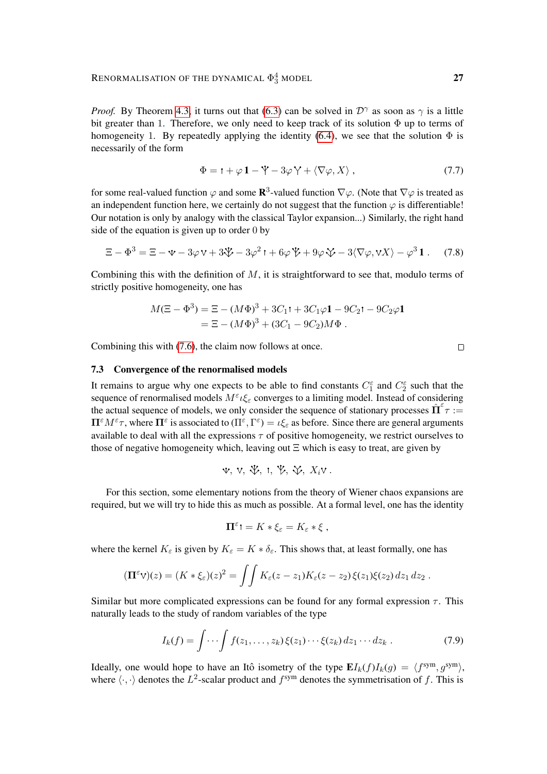*Proof.* By Theorem [4.3,](#page-12-2) it turns out that [\(6.3\)](#page-20-1) can be solved in  $D^{\gamma}$  as soon as  $\gamma$  is a little bit greater than 1. Therefore, we only need to keep track of its solution  $\Phi$  up to terms of homogeneity 1. By repeatedly applying the identity [\(6.4\)](#page-20-0), we see that the solution  $\Phi$  is necessarily of the form

$$
\Phi = \mathbf{1} + \varphi \, \mathbf{1} - \mathbf{\dot{Y}} - 3\varphi \, \mathbf{\dot{Y}} + \langle \nabla \varphi, X \rangle \,,\tag{7.7}
$$

for some real-valued function  $\varphi$  and some  $\mathbb{R}^3$ -valued function  $\nabla \varphi$ . (Note that  $\nabla \varphi$  is treated as an independent function here, we certainly do not suggest that the function  $\varphi$  is differentiable! Our notation is only by analogy with the classical Taylor expansion...) Similarly, the right hand side of the equation is given up to order 0 by

$$
\Xi - \Phi^3 = \Xi - \Psi - 3\varphi \, \mathbf{V} + 3\mathbf{\mathcal{V}} - 3\varphi^2 \, \mathbf{I} + 6\varphi \, \mathbf{\mathcal{V}} + 9\varphi \, \mathbf{\mathcal{V}} - 3\langle \nabla \varphi, \mathbf{V} X \rangle - \varphi^3 \, \mathbf{1} \,. \tag{7.8}
$$

Combining this with the definition of  $M$ , it is straightforward to see that, modulo terms of strictly positive homogeneity, one has

$$
M(\Xi - \Phi^3) = \Xi - (M\Phi)^3 + 3C_1t + 3C_1\varphi\mathbf{1} - 9C_2t - 9C_2\varphi\mathbf{1}
$$
  
=  $\Xi - (M\Phi)^3 + (3C_1 - 9C_2)M\Phi$ .

Combining this with [\(7.6\)](#page-25-0), the claim now follows at once.

#### 7.3 Convergence of the renormalised models

It remains to argue why one expects to be able to find constants  $C_1^{\varepsilon}$  and  $C_2^{\varepsilon}$  such that the sequence of renormalised models  $M^{\varepsilon} \iota \xi_{\varepsilon}$  converges to a limiting model. Instead of considering the actual sequence of models, we only consider the sequence of stationary processes  $\hat{\Pi}^{\varepsilon} \tau :=$  $\Pi^{\varepsilon} M^{\varepsilon} \tau$ , where  $\Pi^{\varepsilon}$  is associated to  $(\Pi^{\varepsilon}, \Gamma^{\varepsilon}) = \iota \xi_{\varepsilon}$  as before. Since there are general arguments available to deal with all the expressions  $\tau$  of positive homogeneity, we restrict ourselves to those of negative homogeneity which, leaving out  $\Xi$  which is easy to treat, are given by

$$
\Psi, \ V, \ \Psi, \ 1, \ \Psi, \ \Psi, \ X_i \vee.
$$

For this section, some elementary notions from the theory of Wiener chaos expansions are required, but we will try to hide this as much as possible. At a formal level, one has the identity

<span id="page-26-0"></span>
$$
\Pi^{\varepsilon} \mathbf{1} = K * \xi_{\varepsilon} = K_{\varepsilon} * \xi ,
$$

where the kernel  $K_{\varepsilon}$  is given by  $K_{\varepsilon} = K * \delta_{\varepsilon}$ . This shows that, at least formally, one has

$$
(\mathbf{\Pi}^{\varepsilon} \mathbf{V})(z) = (K * \xi_{\varepsilon})(z)^2 = \iint K_{\varepsilon}(z - z_1) K_{\varepsilon}(z - z_2) \xi(z_1) \xi(z_2) dz_1 dz_2.
$$

Similar but more complicated expressions can be found for any formal expression  $\tau$ . This naturally leads to the study of random variables of the type

$$
I_k(f) = \int \cdots \int f(z_1, \ldots, z_k) \xi(z_1) \cdots \xi(z_k) dz_1 \cdots dz_k . \tag{7.9}
$$

Ideally, one would hope to have an Itô isometry of the type  $\mathbf{E} I_k(f) I_k(g) = \langle f^{\text{sym}}, g^{\text{sym}} \rangle$ , where  $\langle \cdot, \cdot \rangle$  denotes the L<sup>2</sup>-scalar product and  $f^{sym}$  denotes the symmetrisation of f. This is

 $\Box$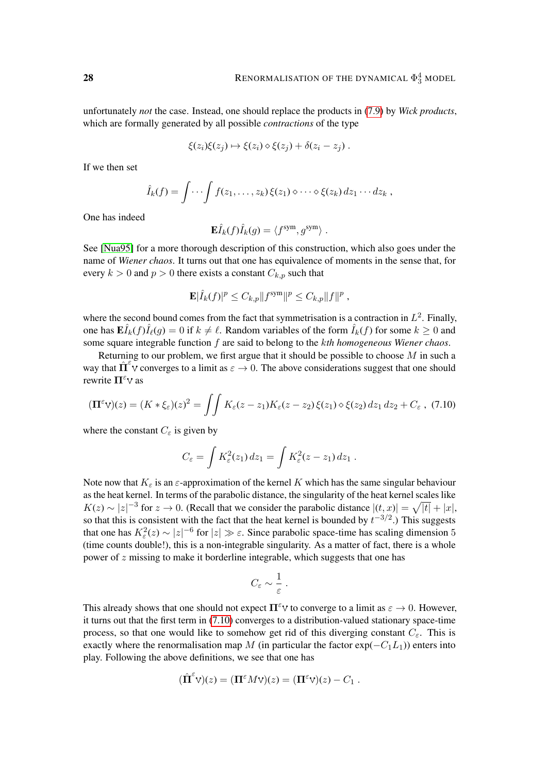unfortunately *not* the case. Instead, one should replace the products in [\(7.9\)](#page-26-0) by *Wick products*, which are formally generated by all possible *contractions* of the type

$$
\xi(z_i)\xi(z_j)\mapsto \xi(z_i)\diamond \xi(z_j)+\delta(z_i-z_j)\ .
$$

If we then set

$$
\hat{I}_k(f) = \int \cdots \int f(z_1,\ldots,z_k) \, \xi(z_1) \diamond \cdots \diamond \xi(z_k) \, dz_1 \cdots dz_k \;,
$$

One has indeed

$$
\mathbf{E}\hat{I}_k(f)\hat{I}_k(g) = \langle f^{\text{sym}}, g^{\text{sym}} \rangle.
$$

See [\[Nua95\]](#page-30-18) for a more thorough description of this construction, which also goes under the name of *Wiener chaos*. It turns out that one has equivalence of moments in the sense that, for every  $k > 0$  and  $p > 0$  there exists a constant  $C_{k,p}$  such that

$$
\mathbf{E}|\hat{I}_k(f)|^p \leq C_{k,p} ||f^{\rm sym}||^p \leq C_{k,p} ||f||^p,
$$

where the second bound comes from the fact that symmetrisation is a contraction in  $L^2$ . Finally, one has  $\mathbf{E} \hat{I}_k(f) \hat{I}_\ell(g) = 0$  if  $k \neq \ell$ . Random variables of the form  $\hat{I}_k(f)$  for some  $k \geq 0$  and some square integrable function f are said to belong to the k*th homogeneous Wiener chaos*.

Returning to our problem, we first argue that it should be possible to choose  $M$  in such a way that  $\hat{\Pi}^{\epsilon}$  converges to a limit as  $\epsilon \to 0$ . The above considerations suggest that one should rewrite  $\Pi^{\varepsilon}$  v as

$$
(\mathbf{\Pi}^{\varepsilon} \mathbf{V})(z) = (K * \xi_{\varepsilon})(z)^2 = \iint K_{\varepsilon}(z - z_1) K_{\varepsilon}(z - z_2) \, \xi(z_1) \diamond \xi(z_2) \, dz_1 \, dz_2 + C_{\varepsilon} \,, \tag{7.10}
$$

where the constant  $C_{\varepsilon}$  is given by

$$
C_{\varepsilon} = \int K_{\varepsilon}^2(z_1) dz_1 = \int K_{\varepsilon}^2(z - z_1) dz_1.
$$

Note now that  $K_{\varepsilon}$  is an  $\varepsilon$ -approximation of the kernel K which has the same singular behaviour as the heat kernel. In terms of the parabolic distance, the singularity of the heat kernel scales like  $K(z) \sim |z|^{-3}$  for  $z \to 0$ . (Recall that we consider the parabolic distance  $|(t, x)| = \sqrt{|t|} + |x|$ , so that this is consistent with the fact that the heat kernel is bounded by  $t^{-3/2}$ .) This suggests that one has  $K_{\varepsilon}^{2}(z) \sim |z|^{-6}$  for  $|z| \gg \varepsilon$ . Since parabolic space-time has scaling dimension 5 (time counts double!), this is a non-integrable singularity. As a matter of fact, there is a whole power of z missing to make it borderline integrable, which suggests that one has

<span id="page-27-0"></span>
$$
C_{\varepsilon} \sim \frac{1}{\varepsilon} \; .
$$

This already shows that one should not expect  $\Pi^{\epsilon}$  to converge to a limit as  $\varepsilon \to 0$ . However, it turns out that the first term in [\(7.10\)](#page-27-0) converges to a distribution-valued stationary space-time process, so that one would like to somehow get rid of this diverging constant  $C_{\varepsilon}$ . This is exactly where the renormalisation map M (in particular the factor  $exp(-C_1L_1)$ ) enters into play. Following the above definitions, we see that one has

$$
(\hat{\Pi}^{\varepsilon}V)(z) = (\Pi^{\varepsilon}MV)(z) = (\Pi^{\varepsilon}V)(z) - C_1.
$$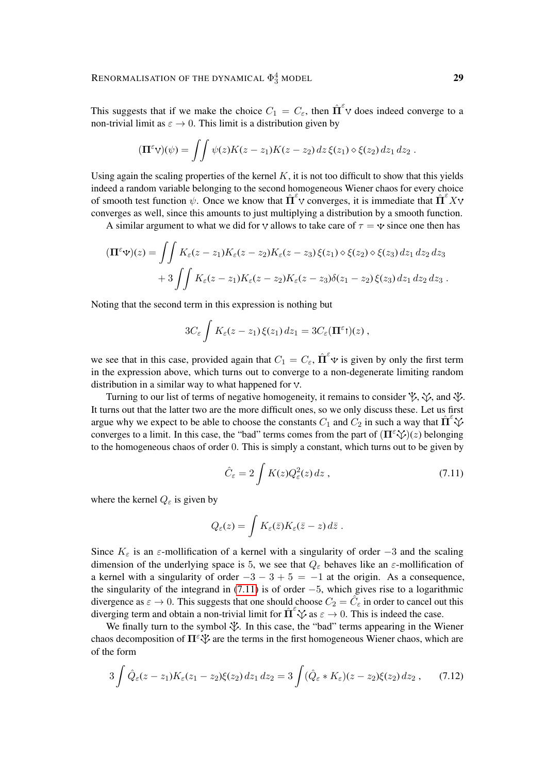This suggests that if we make the choice  $C_1 = C_{\varepsilon}$ , then  $\hat{\mathbf{\Pi}}^{\varepsilon} \mathbf{v}$  does indeed converge to a non-trivial limit as  $\varepsilon \to 0$ . This limit is a distribution given by

$$
(\mathbf{\Pi}^{\varepsilon} \mathbf{V})(\psi) = \iint \psi(z) K(z-z_1) K(z-z_2) dz \, \xi(z_1) \diamond \xi(z_2) dz_1 dz_2.
$$

Using again the scaling properties of the kernel  $K$ , it is not too difficult to show that this yields indeed a random variable belonging to the second homogeneous Wiener chaos for every choice of smooth test function  $\psi$ . Once we know that  $\hat{\Pi}^{\varepsilon}$  converges, it is immediate that  $\hat{\Pi}^{\varepsilon}$  X converges as well, since this amounts to just multiplying a distribution by a smooth function.

A similar argument to what we did for v allows to take care of  $\tau = v$  since one then has

$$
(\mathbf{\Pi}^{\varepsilon}\mathbf{\psi})(z) = \iint K_{\varepsilon}(z - z_1)K_{\varepsilon}(z - z_2)K_{\varepsilon}(z - z_3)\,\xi(z_1)\diamond\xi(z_2)\diamond\xi(z_3)\,dz_1\,dz_2\,dz_3
$$

$$
+ 3\iint K_{\varepsilon}(z - z_1)K_{\varepsilon}(z - z_2)K_{\varepsilon}(z - z_3)\delta(z_1 - z_2)\,\xi(z_3)\,dz_1\,dz_2\,dz_3\,.
$$

Noting that the second term in this expression is nothing but

$$
3C_{\varepsilon}\int K_{\varepsilon}(z-z_1)\,\xi(z_1)\,dz_1=3C_{\varepsilon}(\mathbf{\Pi}^{\varepsilon})\,z),
$$

we see that in this case, provided again that  $C_1 = C_{\varepsilon}$ ,  $\hat{\Pi}^{\varepsilon} \mathbf{\hat{v}}$  is given by only the first term in the expression above, which turns out to converge to a non-degenerate limiting random distribution in a similar way to what happened for  $\nabla$ .

Turning to our list of terms of negative homogeneity, it remains to consider  $\mathcal{V}, \mathcal{V}$ , and  $\mathcal{V}$ . It turns out that the latter two are the more difficult ones, so we only discuss these. Let us first argue why we expect to be able to choose the constants  $C_1$  and  $C_2$  in such a way that  $\hat{\Pi}^{\epsilon}$ converges to a limit. In this case, the "bad" terms comes from the part of  $(\Pi^{\varepsilon} \check{\vee})(z)$  belonging to the homogeneous chaos of order 0. This is simply a constant, which turns out to be given by

<span id="page-28-0"></span>
$$
\hat{C}_{\varepsilon} = 2 \int K(z) Q_{\varepsilon}^{2}(z) dz , \qquad (7.11)
$$

where the kernel  $Q_{\varepsilon}$  is given by

<span id="page-28-1"></span>
$$
Q_{\varepsilon}(z) = \int K_{\varepsilon}(\bar{z}) K_{\varepsilon}(\bar{z} - z) d\bar{z} .
$$

Since  $K_{\varepsilon}$  is an  $\varepsilon$ -mollification of a kernel with a singularity of order -3 and the scaling dimension of the underlying space is 5, we see that  $Q_{\varepsilon}$  behaves like an  $\varepsilon$ -mollification of a kernel with a singularity of order  $-3 - 3 + 5 = -1$  at the origin. As a consequence, the singularity of the integrand in  $(7.11)$  is of order  $-5$ , which gives rise to a logarithmic divergence as  $\varepsilon \to 0$ . This suggests that one should choose  $C_2 = \hat{C}_\varepsilon$  in order to cancel out this diverging term and obtain a non-trivial limit for  $\hat{\Pi}^{\varepsilon}\check{\vee}$  as  $\varepsilon \to 0$ . This is indeed the case.

We finally turn to the symbol  $\mathcal V$ . In this case, the "bad" terms appearing in the Wiener chaos decomposition of  $\Pi^{\varepsilon} \check{\mathcal{X}}$  are the terms in the first homogeneous Wiener chaos, which are of the form

$$
3\int \hat{Q}_{\varepsilon}(z-z_1)K_{\varepsilon}(z_1-z_2)\xi(z_2) dz_1 dz_2 = 3\int (\hat{Q}_{\varepsilon} * K_{\varepsilon})(z-z_2)\xi(z_2) dz_2 ,\qquad(7.12)
$$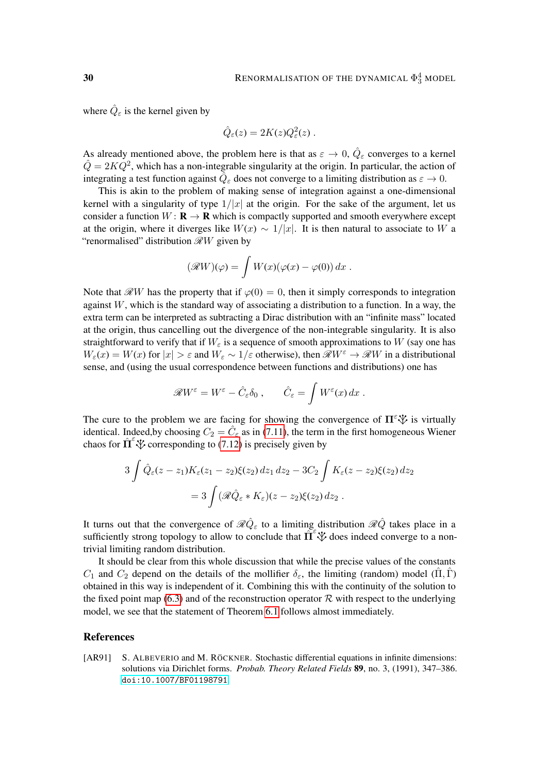where  $\hat{Q}_{\varepsilon}$  is the kernel given by

$$
\hat{Q}_{\varepsilon}(z) = 2K(z)Q_{\varepsilon}^{2}(z) .
$$

As already mentioned above, the problem here is that as  $\varepsilon \to 0$ ,  $\hat{Q}_{\varepsilon}$  converges to a kernel  $\hat{Q} = 2KQ^2$ , which has a non-integrable singularity at the origin. In particular, the action of integrating a test function against  $\hat{Q}_\varepsilon$  does not converge to a limiting distribution as  $\varepsilon \to 0$ .

This is akin to the problem of making sense of integration against a one-dimensional kernel with a singularity of type  $1/|x|$  at the origin. For the sake of the argument, let us consider a function  $W: \mathbf{R} \to \mathbf{R}$  which is compactly supported and smooth everywhere except at the origin, where it diverges like  $W(x) \sim 1/|x|$ . It is then natural to associate to W a "renormalised" distribution  $\mathcal{R}W$  given by

$$
(\mathscr{R}W)(\varphi) = \int W(x)(\varphi(x) - \varphi(0)) dx.
$$

Note that  $\mathcal{R}W$  has the property that if  $\varphi(0) = 0$ , then it simply corresponds to integration against  $W$ , which is the standard way of associating a distribution to a function. In a way, the extra term can be interpreted as subtracting a Dirac distribution with an "infinite mass" located at the origin, thus cancelling out the divergence of the non-integrable singularity. It is also straightforward to verify that if  $W_{\varepsilon}$  is a sequence of smooth approximations to W (say one has  $W_{\varepsilon}(x) = W(x)$  for  $|x| > \varepsilon$  and  $W_{\varepsilon} \sim 1/\varepsilon$  otherwise), then  $\mathscr{R}W^{\varepsilon} \to \mathscr{R}W$  in a distributional sense, and (using the usual correspondence between functions and distributions) one has

$$
\mathscr{R}W^{\varepsilon} = W^{\varepsilon} - \hat{C}_{\varepsilon} \delta_0 , \qquad \hat{C}_{\varepsilon} = \int W^{\varepsilon}(x) dx .
$$

The cure to the problem we are facing for showing the convergence of  $\Pi^{\varepsilon} \check{\mathcal{X}}$  is virtually identical. Indeed, by choosing  $C_2 = \hat{C}_{\varepsilon}$  as in [\(7.11\)](#page-28-0), the term in the first homogeneous Wiener chaos for  $\hat{\Pi}^{\epsilon}$   $\psi$  corresponding to [\(7.12\)](#page-28-1) is precisely given by

$$
3\int \hat{Q}_{\varepsilon}(z-z_1)K_{\varepsilon}(z_1-z_2)\xi(z_2) dz_1 dz_2 - 3C_2 \int K_{\varepsilon}(z-z_2)\xi(z_2) dz_2
$$
  
= 
$$
3\int (\mathcal{R}\hat{Q}_{\varepsilon} * K_{\varepsilon})(z-z_2)\xi(z_2) dz_2.
$$

It turns out that the convergence of  $\Re \hat{Q}_{\varepsilon}$  to a limiting distribution  $\Re \hat{Q}$  takes place in a sufficiently strong topology to allow to conclude that  $\prod_{k=1}^{\infty}$  does indeed converge to a nontrivial limiting random distribution.

It should be clear from this whole discussion that while the precise values of the constants  $C_1$  and  $C_2$  depend on the details of the mollifier  $\delta_{\varepsilon}$ , the limiting (random) model (Π, Γ) obtained in this way is independent of it. Combining this with the continuity of the solution to the fixed point map [\(6.3\)](#page-20-1) and of the reconstruction operator  $R$  with respect to the underlying model, we see that the statement of Theorem [6.1](#page-19-3) follows almost immediately.

## References

<span id="page-29-0"></span>[AR91] S. ALBEVERIO and M. RÖCKNER. Stochastic differential equations in infinite dimensions: solutions via Dirichlet forms. *Probab. Theory Related Fields* 89, no. 3, (1991), 347–386. [doi:10.1007/BF01198791](http://dx.doi.org/10.1007/BF01198791).